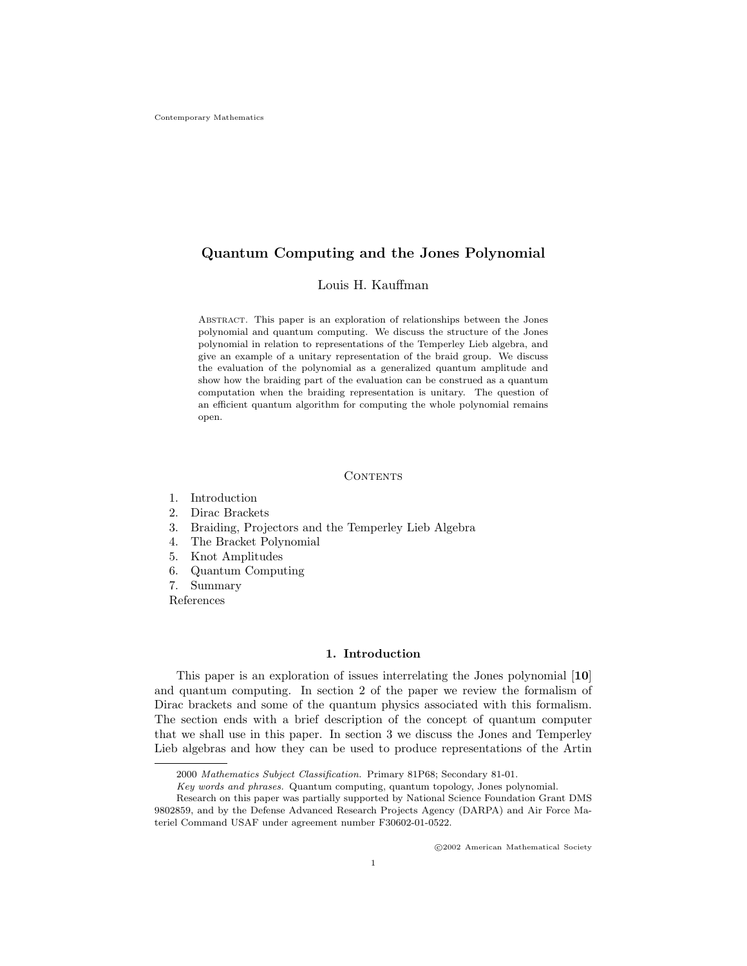# Quantum Computing and the Jones Polynomial

## Louis H. Kauffman

Abstract. This paper is an exploration of relationships between the Jones polynomial and quantum computing. We discuss the structure of the Jones polynomial in relation to representations of the Temperley Lieb algebra, and give an example of a unitary representation of the braid group. We discuss the evaluation of the polynomial as a generalized quantum amplitude and show how the braiding part of the evaluation can be construed as a quantum computation when the braiding representation is unitary. The question of an efficient quantum algorithm for computing the whole polynomial remains open.

### CONTENTS

- 1. Introduction
- 2. Dirac Brackets
- 3. Braiding, Projectors and the Temperley Lieb Algebra
- 4. The Bracket Polynomial
- 5. Knot Amplitudes
- 6. Quantum Computing
- 7. Summary

References

### 1. Introduction

This paper is an exploration of issues interrelating the Jones polynomial [10] and quantum computing. In section 2 of the paper we review the formalism of Dirac brackets and some of the quantum physics associated with this formalism. The section ends with a brief description of the concept of quantum computer that we shall use in this paper. In section 3 we discuss the Jones and Temperley Lieb algebras and how they can be used to produce representations of the Artin

Key words and phrases. Quantum computing, quantum topology, Jones polynomial.

<sup>2000</sup> Mathematics Subject Classification. Primary 81P68; Secondary 81-01.

Research on this paper was partially supported by National Science Foundation Grant DMS 9802859, and by the Defense Advanced Research Projects Agency (DARPA) and Air Force Materiel Command USAF under agreement number F30602-01-0522.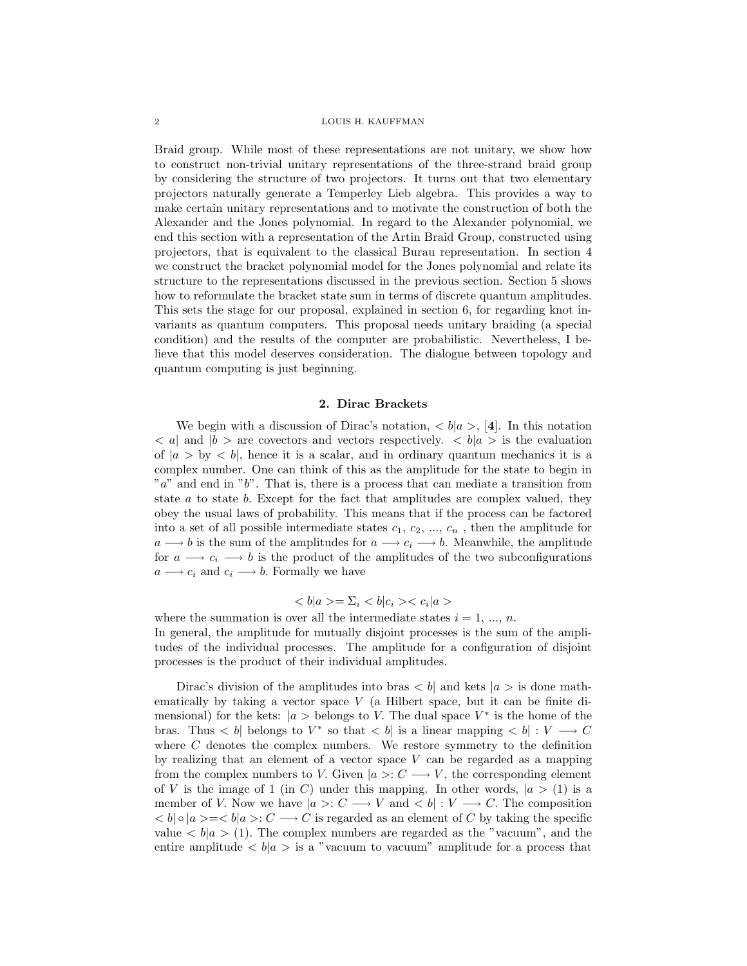#### 2 LOUIS H. KAUFFMAN

Braid group. While most of these representations are not unitary, we show how to construct non-trivial unitary representations of the three-strand braid group by considering the structure of two projectors. It turns out that two elementary projectors naturally generate a Temperley Lieb algebra. This provides a way to make certain unitary representations and to motivate the construction of both the Alexander and the Jones polynomial. In regard to the Alexander polynomial, we end this section with a representation of the Artin Braid Group, constructed using projectors, that is equivalent to the classical Burau representation. In section 4 we construct the bracket polynomial model for the Jones polynomial and relate its structure to the representations discussed in the previous section. Section 5 shows how to reformulate the bracket state sum in terms of discrete quantum amplitudes. This sets the stage for our proposal, explained in section 6, for regarding knot invariants as quantum computers. This proposal needs unitary braiding (a special condition) and the results of the computer are probabilistic. Nevertheless, I believe that this model deserves consideration. The dialogue between topology and quantum computing is just beginning.

### 2. Dirac Brackets

We begin with a discussion of Dirac's notation,  $\langle b|a\rangle$ , [4]. In this notation  $\langle a|$  and  $|b|$  are covectors and vectors respectively.  $\langle b|a| \rangle$  is the evaluation of  $|a >$  by  $\langle b|$ , hence it is a scalar, and in ordinary quantum mechanics it is a complex number. One can think of this as the amplitude for the state to begin in  $a^{\prime\prime}$  and end in "b". That is, there is a process that can mediate a transition from state a to state b. Except for the fact that amplitudes are complex valued, they obey the usual laws of probability. This means that if the process can be factored into a set of all possible intermediate states  $c_1, c_2, ..., c_n$ , then the amplitude for  $a \rightarrow b$  is the sum of the amplitudes for  $a \rightarrow c_i \rightarrow b$ . Meanwhile, the amplitude for  $a \longrightarrow c_i \longrightarrow b$  is the product of the amplitudes of the two subconfigurations  $a \longrightarrow c_i$  and  $c_i \longrightarrow b$ . Formally we have

$$
\langle b|a\rangle = \sum_i \langle b|c_i\rangle \langle c_i|a\rangle
$$

where the summation is over all the intermediate states  $i = 1, ..., n$ . In general, the amplitude for mutually disjoint processes is the sum of the amplitudes of the individual processes. The amplitude for a configuration of disjoint processes is the product of their individual amplitudes.

Dirac's division of the amplitudes into bras  $\langle b|$  and kets  $|a\rangle$  is done mathematically by taking a vector space V (a Hilbert space, but it can be finite dimensional) for the kets:  $|a>$  belongs to V. The dual space  $V^*$  is the home of the bras. Thus  $\lt b$  belongs to  $V^*$  so that  $\lt b$  is a linear mapping  $\lt b$  :  $V \longrightarrow C$ where  $C$  denotes the complex numbers. We restore symmetry to the definition by realizing that an element of a vector space  $V$  can be regarded as a mapping from the complex numbers to V. Given  $|a\rangle: C \longrightarrow V$ , the corresponding element of V is the image of 1 (in C) under this mapping. In other words,  $|a>(1)|$  is a member of V. Now we have  $|a\rangle: C \longrightarrow V$  and  $\langle b|: V \longrightarrow C$ . The composition  $\langle \cdot | \cdot | \cdot | \cdot | \cdot | \cdot | \cdot | \cdot | \cdot | \cdot | \cdot \rangle$  is regarded as an element of C by taking the specific value  $\langle b|a \rangle (1)$ . The complex numbers are regarded as the "vacuum", and the entire amplitude  $\langle b|a \rangle$  is a "vacuum to vacuum" amplitude for a process that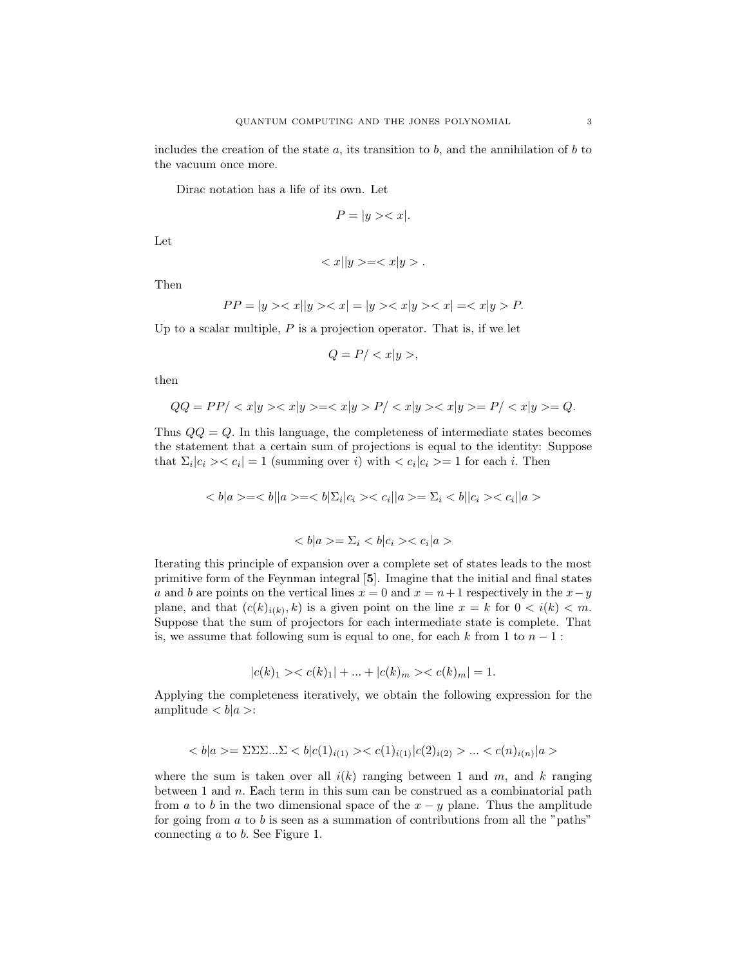includes the creation of the state  $a$ , its transition to  $b$ , and the annihilation of  $b$  to the vacuum once more.

Dirac notation has a life of its own. Let

$$
P = |y\rangle < x|.
$$

Let

$$
\langle x||y\rangle = \langle x|y\rangle.
$$

Then

$$
PP = |y\rangle \langle x||y\rangle \langle x| = |y\rangle \langle x|y\rangle \langle x| = \langle x|y\rangle P.
$$

Up to a scalar multiple,  $P$  is a projection operator. That is, if we let

$$
Q = P / \langle x | y \rangle,
$$

then

$$
QQ = PP/ = P/= P/= Q.
$$

Thus  $QQ = Q$ . In this language, the completeness of intermediate states becomes the statement that a certain sum of projections is equal to the identity: Suppose that  $\Sigma_i |c_i\rangle \langle c_i| = 1$  (summing over i) with  $\langle c_i | c_i \rangle = 1$  for each i. Then

$$
\langle b|a \rangle = \langle b||a \rangle = \langle b|\Sigma_i|c_i \rangle \langle c_i||a \rangle = \Sigma_i \langle b||c_i \rangle \langle c_i||a \rangle
$$

$$
\langle b|a\rangle = \sum_i \langle b|c_i\rangle \langle c_i|a\rangle
$$

Iterating this principle of expansion over a complete set of states leads to the most primitive form of the Feynman integral [5]. Imagine that the initial and final states a and b are points on the vertical lines  $x = 0$  and  $x = n+1$  respectively in the  $x-y$ plane, and that  $(c(k)_{i(k)}, k)$  is a given point on the line  $x = k$  for  $0 < i(k) < m$ . Suppose that the sum of projectors for each intermediate state is complete. That is, we assume that following sum is equal to one, for each k from 1 to  $n - 1$ :

$$
|c(k)_1 \gg c(k)_1| + \dots + |c(k)_m \gg c(k)_m| = 1.
$$

Applying the completeness iteratively, we obtain the following expression for the amplitude  $$ :

$$
\langle b|a\rangle = \sum \sum \dots \sum \langle b|c(1)_{i(1)} \rangle \langle c(1)_{i(1)}|c(2)_{i(2)} \rangle \dots \langle c(n)_{i(n)}|a\rangle
$$

where the sum is taken over all  $i(k)$  ranging between 1 and m, and k ranging between 1 and n. Each term in this sum can be construed as a combinatorial path from a to b in the two dimensional space of the  $x - y$  plane. Thus the amplitude for going from  $a$  to  $b$  is seen as a summation of contributions from all the "paths" connecting a to b. See Figure 1.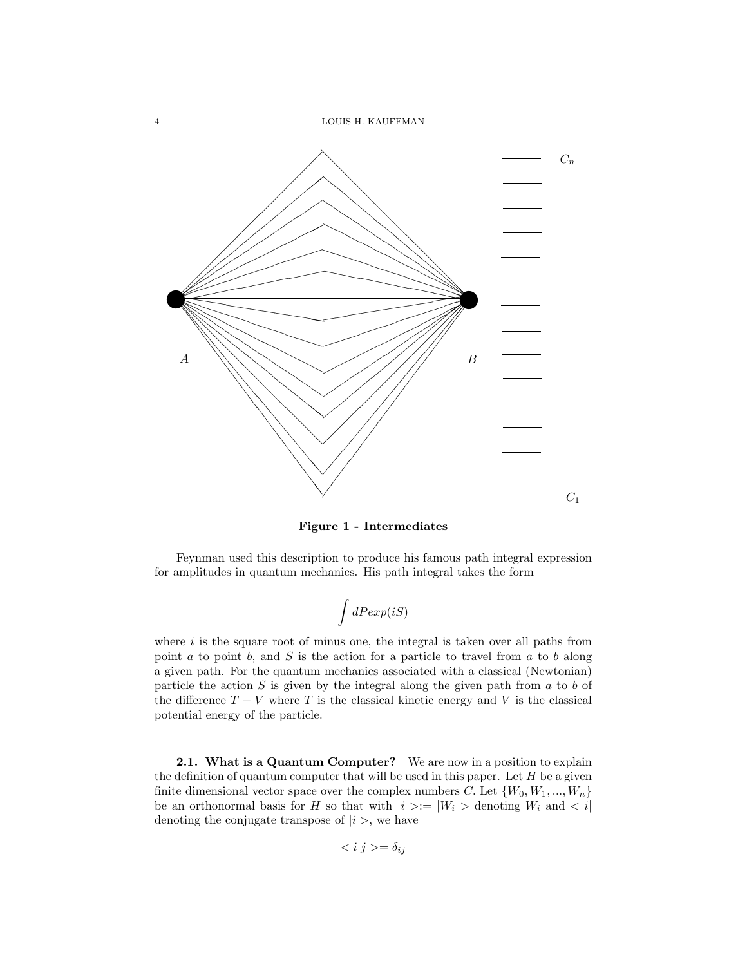

Figure 1 - Intermediates

Feynman used this description to produce his famous path integral expression for amplitudes in quantum mechanics. His path integral takes the form

$$
\int dPexp(iS)
$$

where  $i$  is the square root of minus one, the integral is taken over all paths from point  $a$  to point  $b$ , and  $S$  is the action for a particle to travel from  $a$  to  $b$  along a given path. For the quantum mechanics associated with a classical (Newtonian) particle the action  $S$  is given by the integral along the given path from  $a$  to  $b$  of the difference  $T - V$  where T is the classical kinetic energy and V is the classical potential energy of the particle.

2.1. What is a Quantum Computer? We are now in a position to explain the definition of quantum computer that will be used in this paper. Let  $H$  be a given finite dimensional vector space over the complex numbers C. Let  $\{W_0, W_1, ..., W_n\}$ be an orthonormal basis for H so that with  $|i\rangle := |W_i\rangle$  denoting  $W_i$  and  $\langle i|$ denoting the conjugate transpose of  $|i\rangle$ , we have

$$
\langle i|j\rangle = \delta_{ij}
$$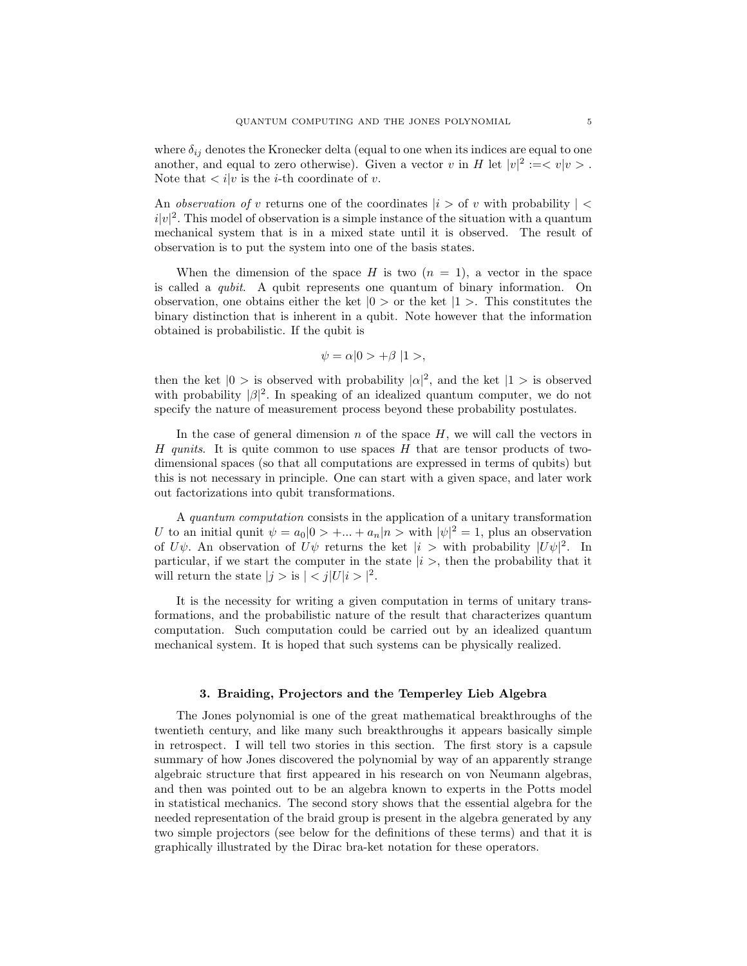where  $\delta_{ij}$  denotes the Kronecker delta (equal to one when its indices are equal to one another, and equal to zero otherwise). Given a vector v in H let  $|v|^2 := \langle v | v \rangle$ . Note that  $\langle i|v\rangle$  is the *i*-th coordinate of *v*.

An *observation of v* returns one of the coordinates  $|i\rangle$  of v with probability  $|$  $i|v|^2$ . This model of observation is a simple instance of the situation with a quantum mechanical system that is in a mixed state until it is observed. The result of observation is to put the system into one of the basis states.

When the dimension of the space H is two  $(n = 1)$ , a vector in the space is called a qubit. A qubit represents one quantum of binary information. On observation, one obtains either the ket  $|0\rangle$  or the ket  $|1\rangle$ . This constitutes the binary distinction that is inherent in a qubit. Note however that the information obtained is probabilistic. If the qubit is

$$
\psi = \alpha |0\rangle + \beta |1\rangle,
$$

then the ket  $|0>$  is observed with probability  $|\alpha|^2$ , and the ket  $|1>$  is observed with probability  $|\beta|^2$ . In speaking of an idealized quantum computer, we do not specify the nature of measurement process beyond these probability postulates.

In the case of general dimension  $n$  of the space  $H$ , we will call the vectors in  $H$  qunits. It is quite common to use spaces  $H$  that are tensor products of twodimensional spaces (so that all computations are expressed in terms of qubits) but this is not necessary in principle. One can start with a given space, and later work out factorizations into qubit transformations.

A quantum computation consists in the application of a unitary transformation U to an initial qunit  $\psi = a_0 |0\rangle + ... + a_n |n\rangle$  with  $|\psi|^2 = 1$ , plus an observation of  $U\psi$ . An observation of  $U\psi$  returns the ket  $|i\rangle$  with probability  $|U\psi|^2$ . In particular, if we start the computer in the state  $|i\rangle$ , then the probability that it will return the state  $|j\rangle$  is  $|< j|U|i\rangle|^2$ .

It is the necessity for writing a given computation in terms of unitary transformations, and the probabilistic nature of the result that characterizes quantum computation. Such computation could be carried out by an idealized quantum mechanical system. It is hoped that such systems can be physically realized.

#### 3. Braiding, Projectors and the Temperley Lieb Algebra

The Jones polynomial is one of the great mathematical breakthroughs of the twentieth century, and like many such breakthroughs it appears basically simple in retrospect. I will tell two stories in this section. The first story is a capsule summary of how Jones discovered the polynomial by way of an apparently strange algebraic structure that first appeared in his research on von Neumann algebras, and then was pointed out to be an algebra known to experts in the Potts model in statistical mechanics. The second story shows that the essential algebra for the needed representation of the braid group is present in the algebra generated by any two simple projectors (see below for the definitions of these terms) and that it is graphically illustrated by the Dirac bra-ket notation for these operators.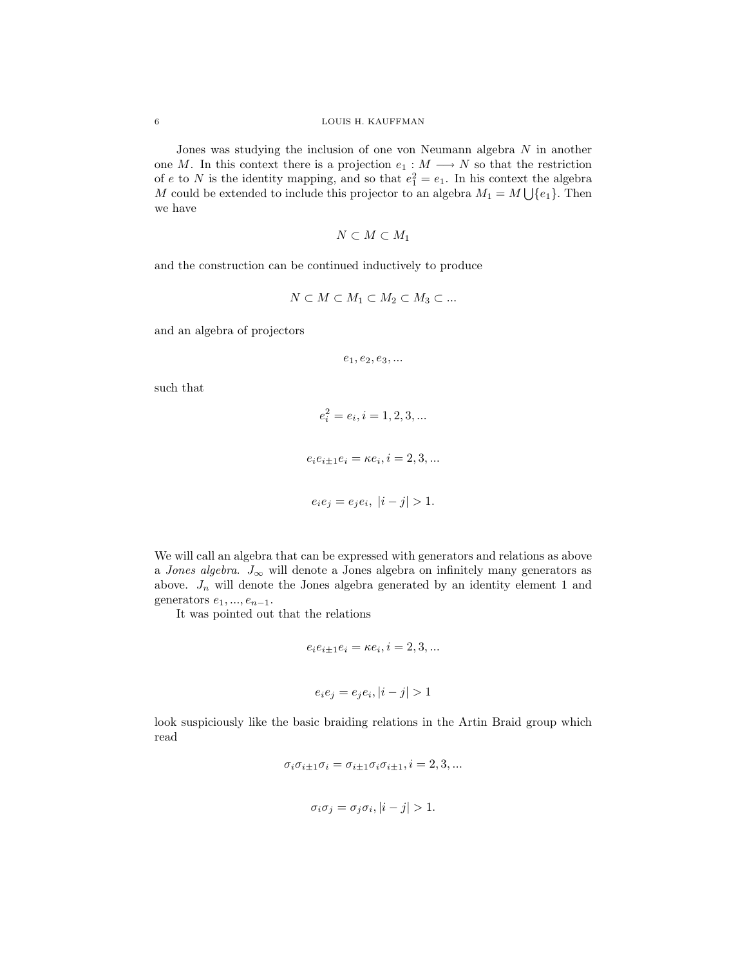Jones was studying the inclusion of one von Neumann algebra N in another one M. In this context there is a projection  $e_1 : M \longrightarrow N$  so that the restriction of e to N is the identity mapping, and so that  $e_1^2 = e_1$ . In his context the algebra M could be extended to include this projector to an algebra  $M_1 = M \bigcup \{e_1\}$ . Then we have

$$
N\subset M\subset M_1
$$

and the construction can be continued inductively to produce

$$
N \subset M \subset M_1 \subset M_2 \subset M_3 \subset \dots
$$

and an algebra of projectors

$$
e_1,e_2,e_3,\ldots
$$

such that

$$
e_i^2 = e_i, i = 1, 2, 3, ...
$$
  

$$
e_i e_{i \pm 1} e_i = \kappa e_i, i = 2, 3, ...
$$
  

$$
e_i e_j = e_j e_i, |i - j| > 1.
$$

We will call an algebra that can be expressed with generators and relations as above a Jones algebra.  $J_{\infty}$  will denote a Jones algebra on infinitely many generators as above.  $J_n$  will denote the Jones algebra generated by an identity element 1 and generators  $e_1, ..., e_{n-1}$ .

It was pointed out that the relations

$$
e_i e_{i \pm 1} e_i = \kappa e_i, i = 2, 3, \dots
$$

$$
e_i e_j = e_j e_i, |i - j| > 1
$$

look suspiciously like the basic braiding relations in the Artin Braid group which read

$$
\sigma_i \sigma_{i\pm 1} \sigma_i = \sigma_{i\pm 1} \sigma_i \sigma_{i\pm 1}, i = 2, 3, \dots
$$

$$
\sigma_i \sigma_j = \sigma_j \sigma_i, |i - j| > 1.
$$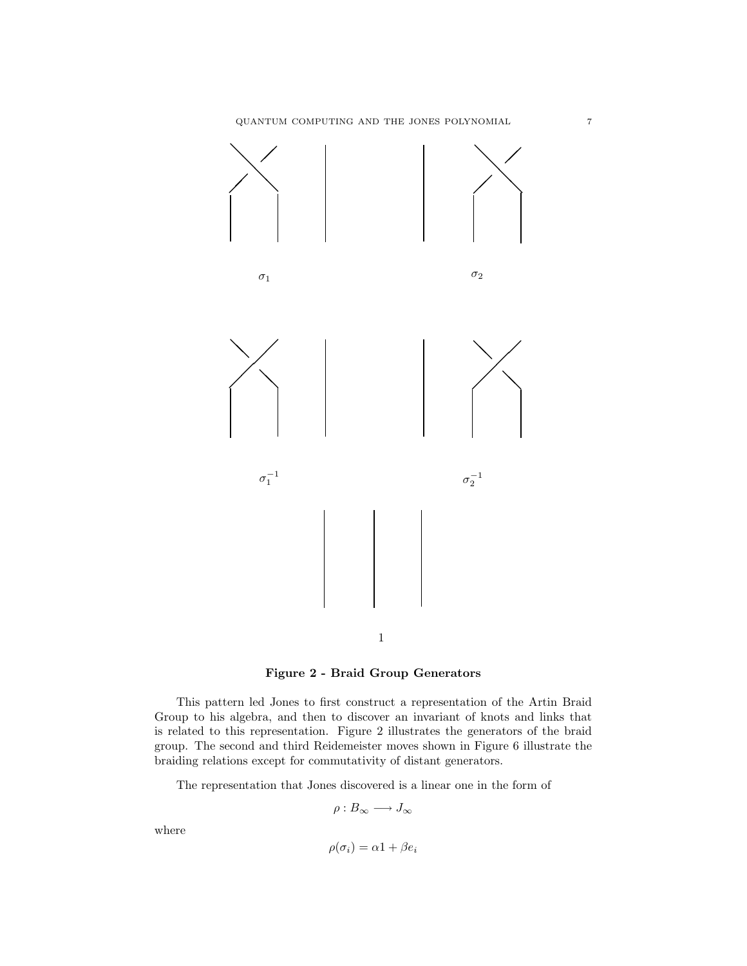

Figure 2 - Braid Group Generators

This pattern led Jones to first construct a representation of the Artin Braid Group to his algebra, and then to discover an invariant of knots and links that is related to this representation. Figure 2 illustrates the generators of the braid group. The second and third Reidemeister moves shown in Figure 6 illustrate the braiding relations except for commutativity of distant generators.

The representation that Jones discovered is a linear one in the form of

$$
\rho:B_{\infty}\longrightarrow J_{\infty}
$$

where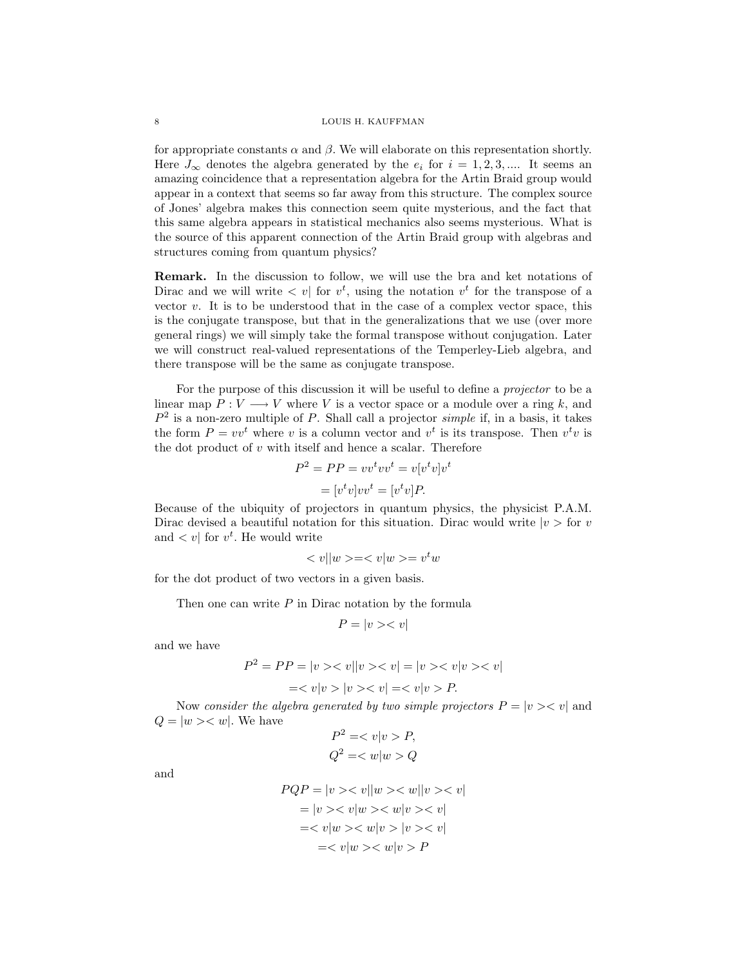#### 8 LOUIS H. KAUFFMAN

for appropriate constants  $\alpha$  and  $\beta$ . We will elaborate on this representation shortly. Here  $J_{\infty}$  denotes the algebra generated by the  $e_i$  for  $i = 1, 2, 3, ...$  It seems an amazing coincidence that a representation algebra for the Artin Braid group would appear in a context that seems so far away from this structure. The complex source of Jones' algebra makes this connection seem quite mysterious, and the fact that this same algebra appears in statistical mechanics also seems mysterious. What is the source of this apparent connection of the Artin Braid group with algebras and structures coming from quantum physics?

Remark. In the discussion to follow, we will use the bra and ket notations of Dirac and we will write  $\langle v |$  for  $v^t$ , using the notation  $v^t$  for the transpose of a vector  $v$ . It is to be understood that in the case of a complex vector space, this is the conjugate transpose, but that in the generalizations that we use (over more general rings) we will simply take the formal transpose without conjugation. Later we will construct real-valued representations of the Temperley-Lieb algebra, and there transpose will be the same as conjugate transpose.

For the purpose of this discussion it will be useful to define a projector to be a linear map  $P: V \longrightarrow V$  where V is a vector space or a module over a ring k, and  $P<sup>2</sup>$  is a non-zero multiple of P. Shall call a projector *simple* if, in a basis, it takes the form  $P = vv^t$  where v is a column vector and  $v^t$  is its transpose. Then  $v^t v$  is the dot product of  $v$  with itself and hence a scalar. Therefore

$$
P2 = PP = vvt vvt = v[vtv]vt
$$

$$
= [vtv]vvt = [vtv]P.
$$

Because of the ubiquity of projectors in quantum physics, the physicist P.A.M. Dirac devised a beautiful notation for this situation. Dirac would write  $|v\rangle$  for v and  $\langle v \rangle$  for  $v^t$ . He would write

$$
\langle v||w\rangle = \langle v|w\rangle = v^t w
$$

for the dot product of two vectors in a given basis.

Then one can write  $P$  in Dirac notation by the formula

$$
P = |v\rangle \langle v|
$$

and we have

$$
P^{2} = PP = |v\rangle\langle v||v\rangle\langle v| = |v\rangle\langle v|v\rangle\langle v|
$$
  
= $\langle v|v\rangle |v\rangle\langle v| = \langle v|v\rangle P.$ 

Now consider the algebra generated by two simple projectors  $P = |v\rangle \langle v|$  and  $Q = |w\rangle \langle w|$ . We have

$$
P^2 = \langle v | v \rangle P,
$$
  

$$
Q^2 = \langle w | w \rangle Q
$$

and

$$
PQP = |v\rangle \langle v||w\rangle \langle w||v\rangle \langle v|
$$

$$
= |v\rangle \langle v|w\rangle \langle w|v\rangle \langle v|
$$

$$
= \langle v|w\rangle \langle w|v\rangle |v\rangle \langle v|
$$

$$
= \langle v|w\rangle \langle w|v\rangle P
$$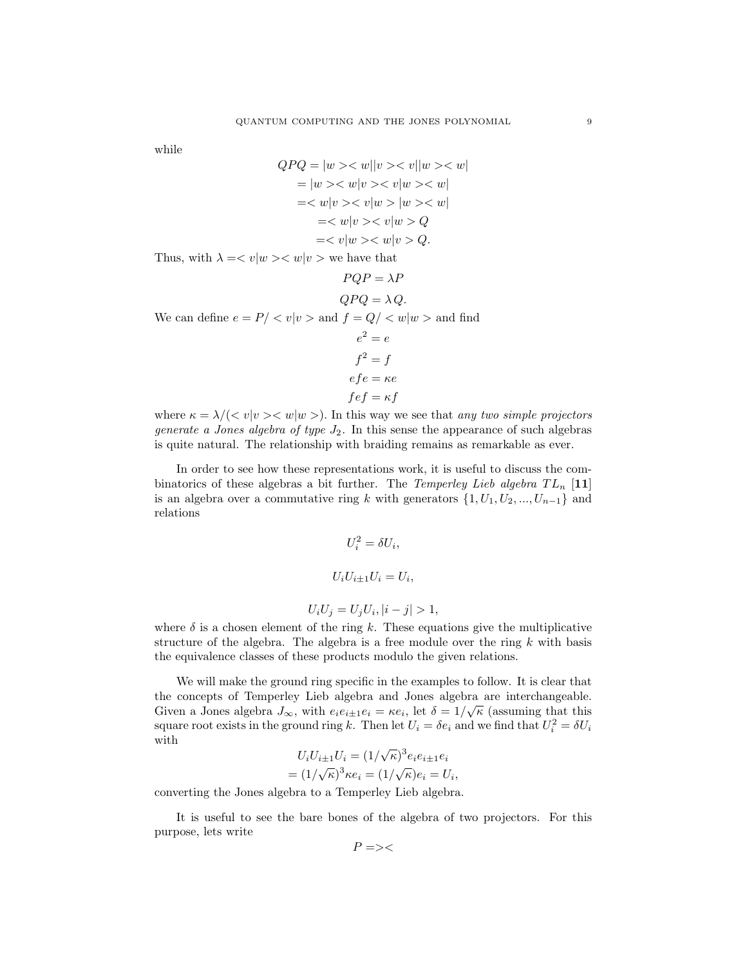while

$$
QPQ = |w\rangle \langle w||v\rangle \langle v||w\rangle \langle w|
$$
  
= |w\rangle \langle w|v\rangle \langle v|w\rangle \langle w|  
=\langle w|v\rangle \langle v|w\rangle |w\rangle \langle w|  
=\langle w|v\rangle \langle v|w\rangle Q  
=\langle v|w\rangle \langle w|v\rangle Q.

Thus, with  $\lambda = \langle v | w \rangle \langle w | v \rangle$  we have that

$$
PQP = \lambda P
$$

$$
QPQ = \lambda Q.
$$

We can define  $e = P/$  and  $f = Q/$  and find

$$
e^{2} = e
$$

$$
f^{2} = f
$$

$$
efe = \kappa e
$$

$$
fef = \kappa f
$$

where  $\kappa = \lambda/(\langle v \rangle \langle v \rangle \langle w \rangle)$ . In this way we see that any two simple projectors generate a Jones algebra of type  $J_2$ . In this sense the appearance of such algebras is quite natural. The relationship with braiding remains as remarkable as ever.

In order to see how these representations work, it is useful to discuss the combinatorics of these algebras a bit further. The Temperley Lieb algebra  $TL_n$  [11] is an algebra over a commutative ring k with generators  $\{1, U_1, U_2, ..., U_{n-1}\}$  and relations

$$
U_i^2 = \delta U_i,
$$
  
\n
$$
U_i U_{i\pm 1} U_i = U_i,
$$
  
\n
$$
U_i U_j = U_j U_i, |i - j| > 1,
$$

where  $\delta$  is a chosen element of the ring k. These equations give the multiplicative structure of the algebra. The algebra is a free module over the ring  $k$  with basis the equivalence classes of these products modulo the given relations.

We will make the ground ring specific in the examples to follow. It is clear that the concepts of Temperley Lieb algebra and Jones algebra are interchangeable. Given a Jones algebra  $J_{\infty}$ , with  $e_i e_{i\pm 1} e_i = \kappa e_i$ , let  $\delta = 1/\sqrt{\kappa}$  (assuming that this square root exists in the ground ring k. Then let  $U_i = \delta e_i$  and we find that  $U_i^2 = \delta U_i$ with √

$$
U_i U_{i\pm 1} U_i = (1/\sqrt{\kappa})^3 e_i e_{i\pm 1} e_i
$$

$$
= (1/\sqrt{\kappa})^3 \kappa e_i = (1/\sqrt{\kappa}) e_i = U_i
$$

,

converting the Jones algebra to a Temperley Lieb algebra.

It is useful to see the bare bones of the algebra of two projectors. For this purpose, lets write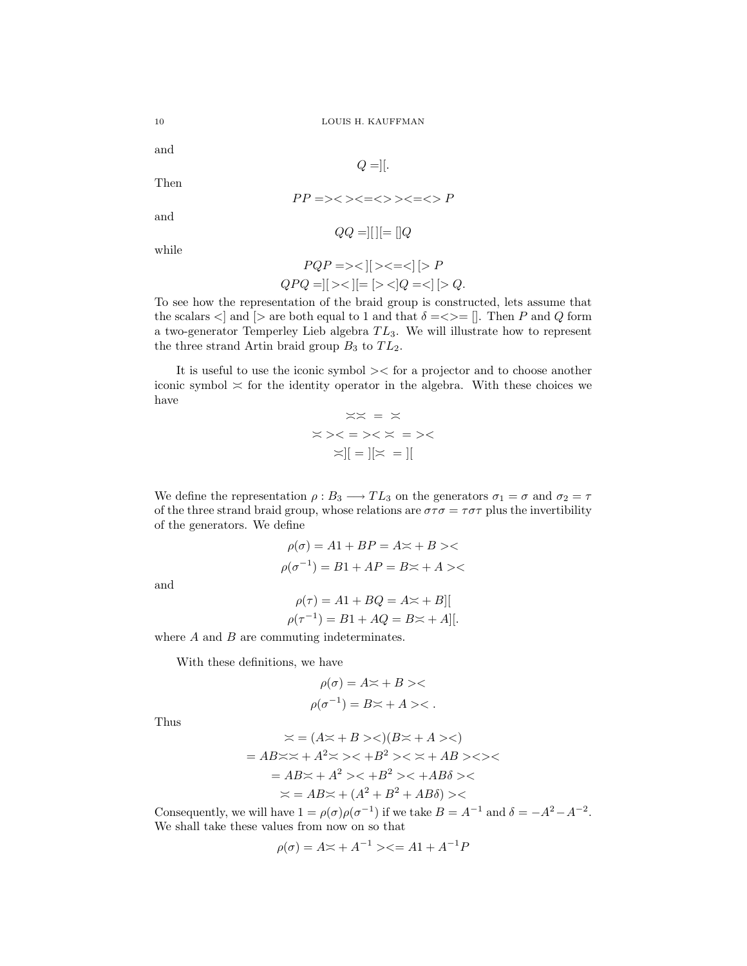and

 $Q =$ [[.

Then

$$
PP => < > < = < > < = < > P
$$

and

$$
QQ = || || = ||Q
$$

while

$$
PQP = >< |>< = <|> P
$$
\n
$$
QPQ = |><| = |><|Q = <|> Q.
$$

To see how the representation of the braid group is constructed, lets assume that the scalars  $\leq$  and  $\leq$  are both equal to 1 and that  $\delta = \leq \geq = \parallel$ . Then P and Q form a two-generator Temperley Lieb algebra  $TL_3$ . We will illustrate how to represent the three strand Artin braid group  $B_3$  to  $TL_2$ .

It is useful to use the iconic symbol >< for a projector and to choose another iconic symbol  $\leq$  for the identity operator in the algebra. With these choices we have

$$
\begin{aligned}\n &\times = \times \\
 &\times \times = &\times \times = &\times \\
 &\times \times \times = &\times \times = &\times\n \end{aligned}
$$

We define the representation  $\rho : B_3 \longrightarrow TL_3$  on the generators  $\sigma_1 = \sigma$  and  $\sigma_2 = \tau$ of the three strand braid group, whose relations are  $\sigma\tau\sigma = \tau\sigma\tau$  plus the invertibility of the generators. We define

$$
\rho(\sigma) = A1 + BP = A \times + B >< \\
\rho(\sigma^{-1}) = B1 + AP = B \times + A ><
$$

and

$$
\rho(\tau) = A1 + BQ = A \times + B[
$$
  

$$
\rho(\tau^{-1}) = B1 + AQ = B \times + A[
$$

where  $A$  and  $B$  are commuting indeterminates.

With these definitions, we have

$$
\rho(\sigma) = A \times + B > \n\rho(\sigma^{-1}) = B \times + A > <.
$$

Thus

$$
\begin{aligned}\n&\asymp = (A \times + B ><)(B \times + A ><) \\
&= AB \times \asymp + A^2 \asymp >< + B^2 >< \asymp + AB >< \\
&= AB \asymp + A^2 >< + B^2 >< + A B \delta >< \\
&\asymp = AB \asymp + (A^2 + B^2 + A B \delta) >< \n\end{aligned}
$$

Consequently, we will have  $1 = \rho(\sigma)\rho(\sigma^{-1})$  if we take  $B = A^{-1}$  and  $\delta = -A^2 - A^{-2}$ . We shall take these values from now on so that

$$
\rho(\sigma) = A \times + A^{-1} \times A = A1 + A^{-1}P
$$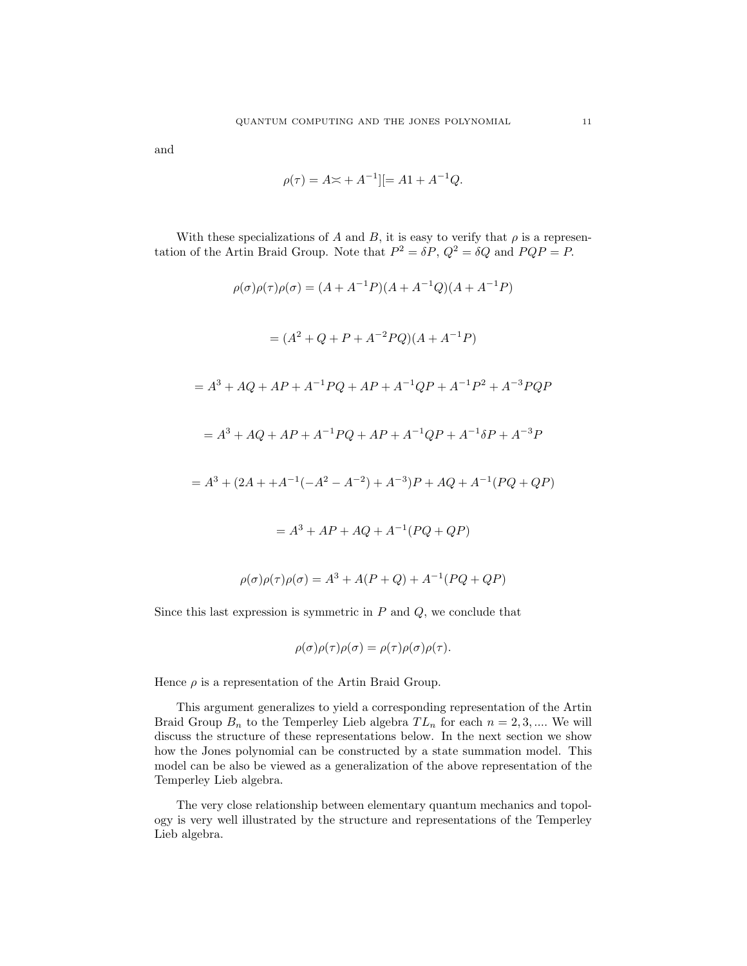and

$$
\rho(\tau) = A \times + A^{-1} \, \big| \, = A \, 1 + A^{-1} \, Q.
$$

With these specializations of A and B, it is easy to verify that  $\rho$  is a representation of the Artin Braid Group. Note that  $P^2 = \delta P$ ,  $Q^2 = \delta Q$  and  $PQP = P$ .

$$
\rho(\sigma)\rho(\tau)\rho(\sigma) = (A + A^{-1}P)(A + A^{-1}Q)(A + A^{-1}P)
$$
  
\n
$$
= (A^2 + Q + P + A^{-2}PQ)(A + A^{-1}P)
$$
  
\n
$$
= A^3 + AQ + AP + A^{-1}PQ + AP + A^{-1}QP + A^{-1}P^2 + A^{-3}PQP
$$
  
\n
$$
= A^3 + AQ + AP + A^{-1}PQ + AP + A^{-1}QP + A^{-1}\delta P + A^{-3}P
$$
  
\n
$$
= A^3 + (2A + A^{-1}(-A^2 - A^{-2}) + A^{-3})P + AQ + A^{-1}(PQ + QP)
$$
  
\n
$$
= A^3 + AP + AQ + A^{-1}(PQ + QP)
$$
  
\n
$$
\rho(\sigma)\rho(\tau)\rho(\sigma) = A^3 + A(P + Q) + A^{-1}(PQ + QP)
$$

Since this last expression is symmetric in  $P$  and  $Q$ , we conclude that

$$
\rho(\sigma)\rho(\tau)\rho(\sigma) = \rho(\tau)\rho(\sigma)\rho(\tau).
$$

Hence  $\rho$  is a representation of the Artin Braid Group.

This argument generalizes to yield a corresponding representation of the Artin Braid Group  $B_n$  to the Temperley Lieb algebra  $TL_n$  for each  $n = 2, 3, ...$  We will discuss the structure of these representations below. In the next section we show how the Jones polynomial can be constructed by a state summation model. This model can be also be viewed as a generalization of the above representation of the Temperley Lieb algebra.

The very close relationship between elementary quantum mechanics and topology is very well illustrated by the structure and representations of the Temperley Lieb algebra.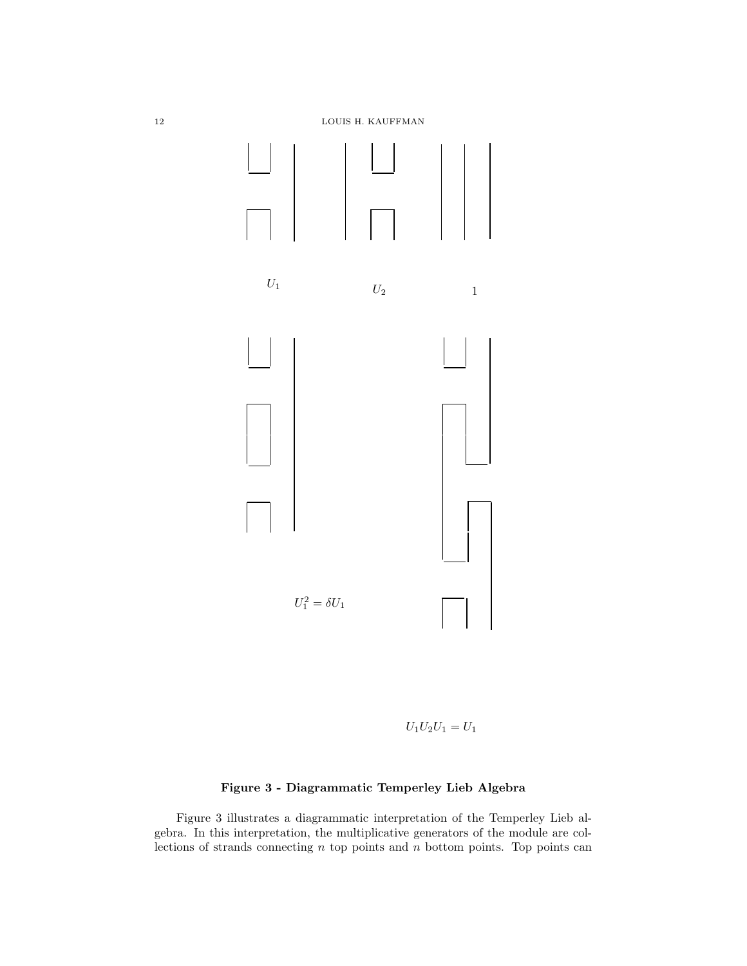

 $U_1U_2U_1 = U_1$ 

# Figure 3 - Diagrammatic Temperley Lieb Algebra

Figure 3 illustrates a diagrammatic interpretation of the Temperley Lieb algebra. In this interpretation, the multiplicative generators of the module are collections of strands connecting  $n$  top points and  $n$  bottom points. Top points can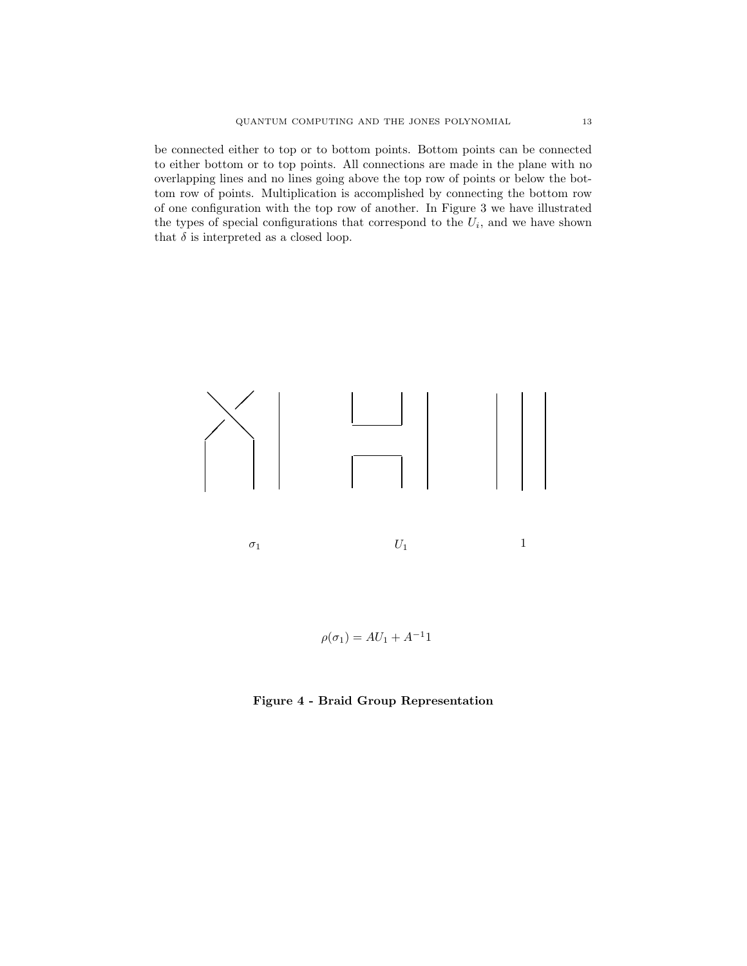be connected either to top or to bottom points. Bottom points can be connected to either bottom or to top points. All connections are made in the plane with no overlapping lines and no lines going above the top row of points or below the bottom row of points. Multiplication is accomplished by connecting the bottom row of one configuration with the top row of another. In Figure 3 we have illustrated the types of special configurations that correspond to the  $U_i$ , and we have shown that  $\delta$  is interpreted as a closed loop.



 $\rho(\sigma_1) = AU_1 + A^{-1}1$ 

Figure 4 - Braid Group Representation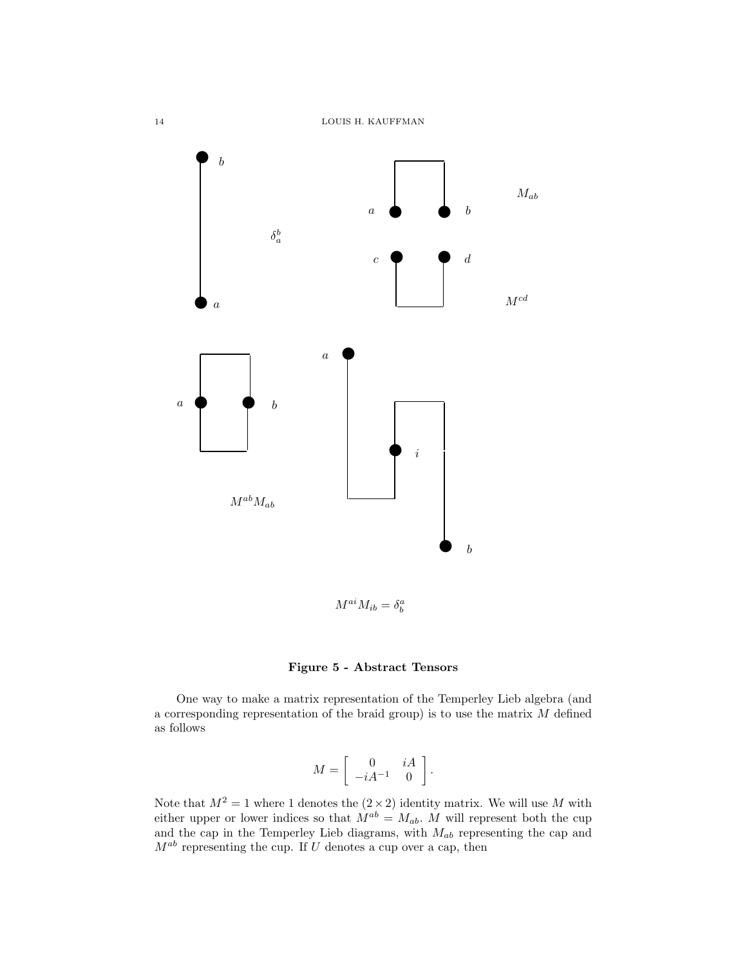

 $M^{ai}M_{ib} = \delta^a_b$ 

## Figure 5 - Abstract Tensors

One way to make a matrix representation of the Temperley Lieb algebra (and a corresponding representation of the braid group) is to use the matrix M defined as follows

$$
M = \left[ \begin{array}{cc} 0 & iA \\ -iA^{-1} & 0 \end{array} \right].
$$

Note that  $M^2 = 1$  where 1 denotes the  $(2 \times 2)$  identity matrix. We will use M with either upper or lower indices so that  $M^{ab} = M_{ab}$ . M will represent both the cup and the cap in the Temperley Lieb diagrams, with  $M_{ab}$  representing the cap and  $M^{ab}$  representing the cup. If U denotes a cup over a cap, then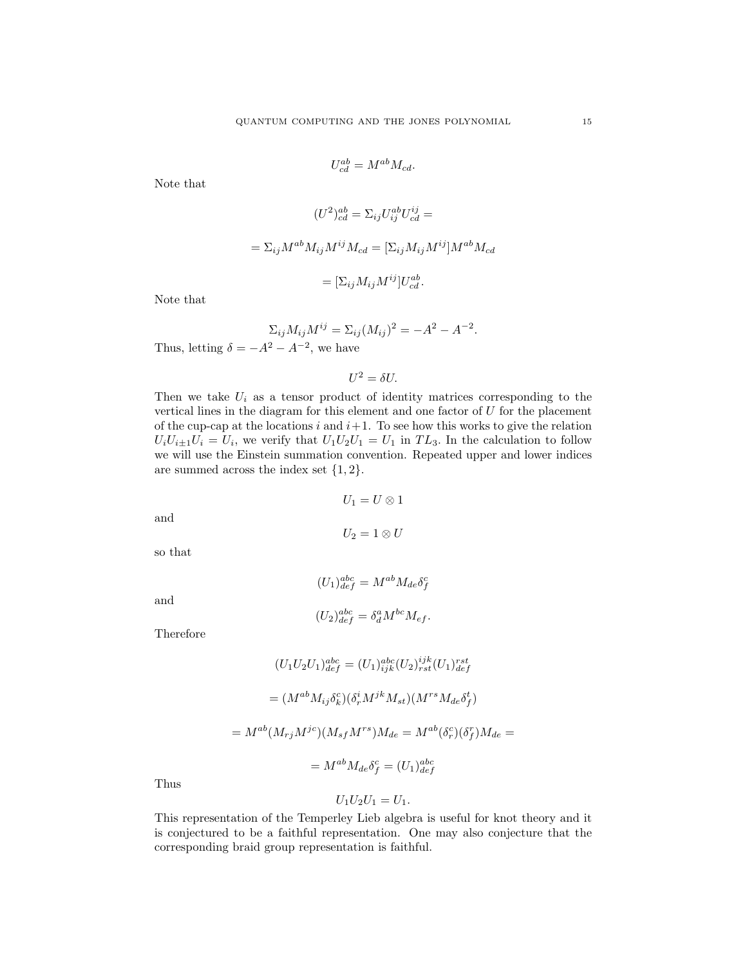$$
U_{cd}^{ab} = M^{ab} M_{cd}.
$$

Note that

$$
(U^2)^{ab}_{cd} = \Sigma_{ij} U^{ab}_{ij} U^{ij}_{cd} =
$$
  

$$
= \Sigma_{ij} M^{ab} M_{ij} M^{ij} M_{cd} = [\Sigma_{ij} M_{ij} M^{ij}] M^{ab} M_{cd}
$$
  

$$
= [\Sigma_{ij} M_{ij} M^{ij}] U^{ab}_{cd}.
$$

Note that

$$
\sum_{ij} M_{ij} M^{ij} = \sum_{ij} (M_{ij})^2 = -A^2 - A^{-2}.
$$

Thus, letting  $\delta = -A^2 - A^{-2}$ , we have

$$
U^2 = \delta U.
$$

Then we take  $U_i$  as a tensor product of identity matrices corresponding to the vertical lines in the diagram for this element and one factor of  $U$  for the placement of the cup-cap at the locations  $i$  and  $i+1$ . To see how this works to give the relation  $U_iU_{i\pm 1}U_i = U_i$ , we verify that  $U_1U_2U_1 = U_1$  in  $TL_3$ . In the calculation to follow we will use the Einstein summation convention. Repeated upper and lower indices are summed across the index set  $\{1, 2\}.$ 

 $U_1 = U \otimes 1$ 

 $U_2 = 1 \otimes U$ 

and

so that

and

$$
(U_1)_{def}^{abc} = M^{ab} M_{de} \delta_f^c
$$

$$
(U_2)_{def}^{abc} = \delta_d^a M^{bc} M_{ef}.
$$

Therefore

$$
(U_1 U_2 U_1)_{def}^{abc} = (U_1)_{ijk}^{abc} (U_2)_{rst}^{ijk} (U_1)_{def}^{rst}
$$

$$
= (M^{ab} M_{ij} \delta_k^c) (\delta_r^i M^{jk} M_{st}) (M^{rs} M_{de} \delta_f^t)
$$

$$
= M^{ab} (M_{rj} M^{jc}) (M_{sf} M^{rs}) M_{de} = M^{ab} (\delta_r^c) (\delta_f^r) M_{de} =
$$

$$
= M^{ab} M_{de} \delta_f^c = (U_1)_{def}^{abc}
$$

Thus

$$
U_1U_2U_1=U_1.
$$

This representation of the Temperley Lieb algebra is useful for knot theory and it is conjectured to be a faithful representation. One may also conjecture that the corresponding braid group representation is faithful.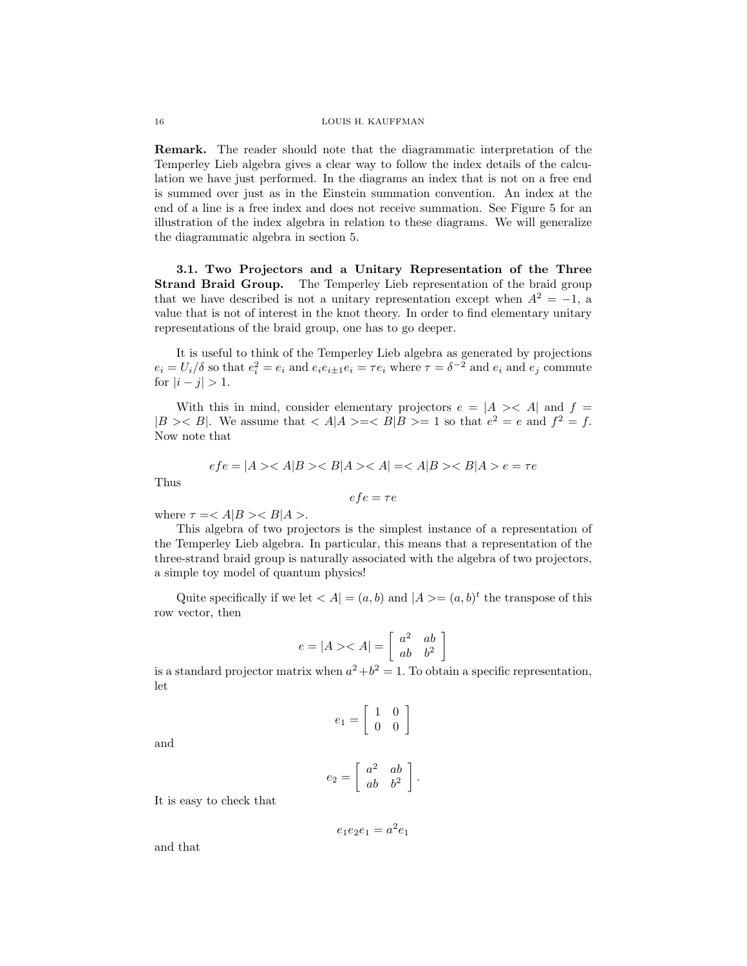Remark. The reader should note that the diagrammatic interpretation of the Temperley Lieb algebra gives a clear way to follow the index details of the calculation we have just performed. In the diagrams an index that is not on a free end is summed over just as in the Einstein summation convention. An index at the end of a line is a free index and does not receive summation. See Figure 5 for an illustration of the index algebra in relation to these diagrams. We will generalize the diagrammatic algebra in section 5.

3.1. Two Projectors and a Unitary Representation of the Three Strand Braid Group. The Temperley Lieb representation of the braid group that we have described is not a unitary representation except when  $A^2 = -1$ , a value that is not of interest in the knot theory. In order to find elementary unitary representations of the braid group, one has to go deeper.

It is useful to think of the Temperley Lieb algebra as generated by projections  $e_i = U_i/\delta$  so that  $e_i^2 = e_i$  and  $e_i e_{i\pm 1} e_i = \tau e_i$  where  $\tau = \delta^{-2}$  and  $e_i$  and  $e_j$  commute for  $|i - j| > 1$ .

With this in mind, consider elementary projectors  $e = |A| \ll A$  and  $f =$  $|B\rangle$  >< B|. We assume that < A|A > = < B|B > = 1 so that  $e^2 = e$  and  $f^2 = f$ . Now note that

$$
efe = |A\rangle \langle A|B\rangle \langle B|A\rangle \langle A| = \langle A|B\rangle \langle B|A\rangle \langle B|B\rangle
$$

Thus

$$
efe = \tau e
$$

where  $\tau = \langle A|B \rangle \langle B|A \rangle$ .

This algebra of two projectors is the simplest instance of a representation of the Temperley Lieb algebra. In particular, this means that a representation of the three-strand braid group is naturally associated with the algebra of two projectors, a simple toy model of quantum physics!

Quite specifically if we let  $\langle A | = (a, b)$  and  $| A \rangle = (a, b)^t$  the transpose of this row vector, then

$$
e=|A>
$$

is a standard projector matrix when  $a^2 + b^2 = 1$ . To obtain a specific representation, let

$$
e_1 = \left[ \begin{array}{cc} 1 & 0 \\ 0 & 0 \end{array} \right]
$$

and

$$
e_2 = \left[ \begin{array}{cc} a^2 & ab \\ ab & b^2 \end{array} \right].
$$

It is easy to check that

$$
e_1e_2e_1 = a^2e_1
$$

and that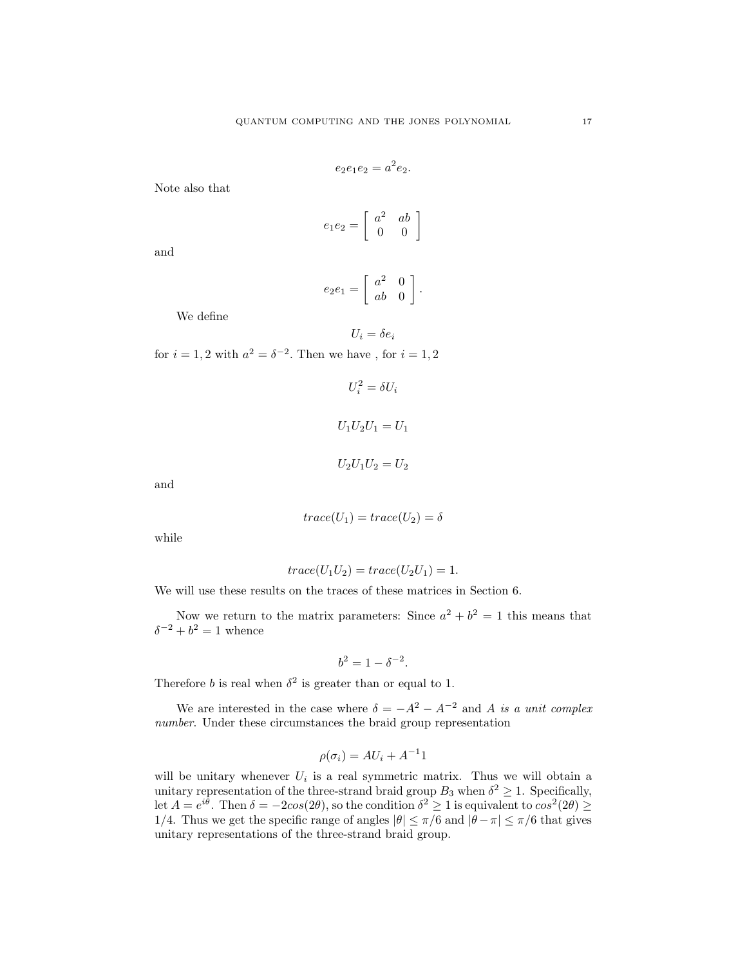$$
e_2e_1e_2 = a^2e_2.
$$

Note also that

$$
e_1e_2 = \left[ \begin{array}{cc} a^2 & ab \\ 0 & 0 \end{array} \right]
$$

and

$$
e_2e_1 = \left[ \begin{array}{cc} a^2 & 0 \\ ab & 0 \end{array} \right].
$$

 $U = \delta e$ .

We define

$$
\sigma_i = \sigma_i
$$

for  $i = 1, 2$  with  $a^2 = \delta^{-2}$ . Then we have, for  $i = 1, 2$ 

$$
U_i^2 = \delta U_i
$$

$$
U_1 U_2 U_1 = U_1
$$

$$
U_2 U_1 U_2 = U_2
$$

and

$$
trace(U_1) = trace(U_2) = \delta
$$

while

$$
trace(U_1U_2) = trace(U_2U_1) = 1.
$$

We will use these results on the traces of these matrices in Section 6.

Now we return to the matrix parameters: Since  $a^2 + b^2 = 1$  this means that  $\delta^{-2} + b^2 = 1$  whence

$$
b^2=1-\delta^{-2}.
$$

Therefore b is real when  $\delta^2$  is greater than or equal to 1.

We are interested in the case where  $\delta = -A^2 - A^{-2}$  and A is a unit complex number. Under these circumstances the braid group representation

$$
\rho(\sigma_i)=AU_i+A^{-1}1
$$

will be unitary whenever  $U_i$  is a real symmetric matrix. Thus we will obtain a unitary representation of the three-strand braid group  $B_3$  when  $\delta^2 \geq 1$ . Specifically, let  $A = e^{i\theta}$ . Then  $\delta = -2\cos(2\theta)$ , so the condition  $\delta^2 \ge 1$  is equivalent to  $\cos^2(2\theta) \ge$ 1/4. Thus we get the specific range of angles  $|\theta| \leq \pi/6$  and  $|\theta - \pi| \leq \pi/6$  that gives unitary representations of the three-strand braid group.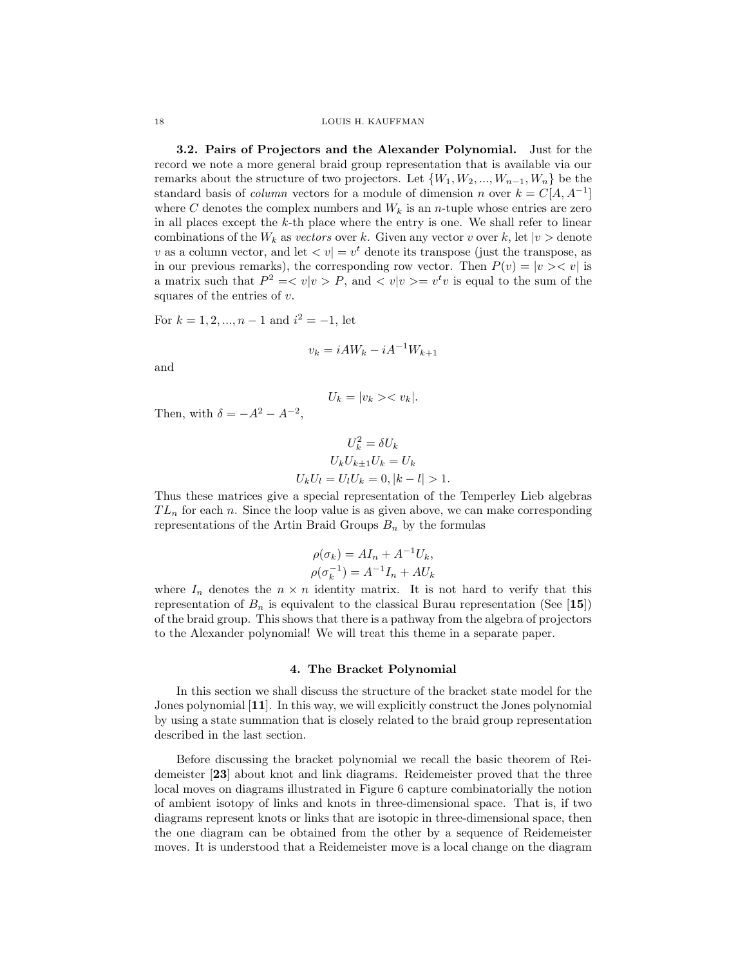3.2. Pairs of Projectors and the Alexander Polynomial. Just for the record we note a more general braid group representation that is available via our remarks about the structure of two projectors. Let  $\{W_1, W_2, ..., W_{n-1}, W_n\}$  be the standard basis of *column* vectors for a module of dimension *n* over  $k = C[A, A^{-1}]$ where C denotes the complex numbers and  $W_k$  is an n-tuple whose entries are zero in all places except the k-th place where the entry is one. We shall refer to linear combinations of the  $W_k$  as vectors over k. Given any vector v over k, let  $|v\rangle$  denote v as a column vector, and let  $\langle v | = v^t$  denote its transpose (just the transpose, as in our previous remarks), the corresponding row vector. Then  $P(v) = |v\rangle \langle v|$  is a matrix such that  $P^2 = \langle v | v \rangle P$ , and  $\langle v | v \rangle = v^t v$  is equal to the sum of the squares of the entries of  $v$ .

For  $k = 1, 2, ..., n - 1$  and  $i^2 = -1$ , let

$$
v_k = iAW_k - iA^{-1}W_{k+1}
$$

and

$$
U_k = |v_k\rangle \langle v_k|.
$$

Then, with  $\delta = -A^2 - A^{-2}$ ,

$$
U_k^2 = \delta U_k
$$
  
\n
$$
U_k U_{k\pm 1} U_k = U_k
$$
  
\n
$$
U_k U_l = U_l U_k = 0, |k - l| > 1.
$$

Thus these matrices give a special representation of the Temperley Lieb algebras  $TL_n$  for each n. Since the loop value is as given above, we can make corresponding representations of the Artin Braid Groups  $B_n$  by the formulas

$$
\rho(\sigma_k) = A I_n + A^{-1} U_k,
$$
  

$$
\rho(\sigma_k^{-1}) = A^{-1} I_n + A U_k
$$

where  $I_n$  denotes the  $n \times n$  identity matrix. It is not hard to verify that this representation of  $B_n$  is equivalent to the classical Burau representation (See [15]) of the braid group. This shows that there is a pathway from the algebra of projectors to the Alexander polynomial! We will treat this theme in a separate paper.

### 4. The Bracket Polynomial

In this section we shall discuss the structure of the bracket state model for the Jones polynomial [11]. In this way, we will explicitly construct the Jones polynomial by using a state summation that is closely related to the braid group representation described in the last section.

Before discussing the bracket polynomial we recall the basic theorem of Reidemeister [23] about knot and link diagrams. Reidemeister proved that the three local moves on diagrams illustrated in Figure 6 capture combinatorially the notion of ambient isotopy of links and knots in three-dimensional space. That is, if two diagrams represent knots or links that are isotopic in three-dimensional space, then the one diagram can be obtained from the other by a sequence of Reidemeister moves. It is understood that a Reidemeister move is a local change on the diagram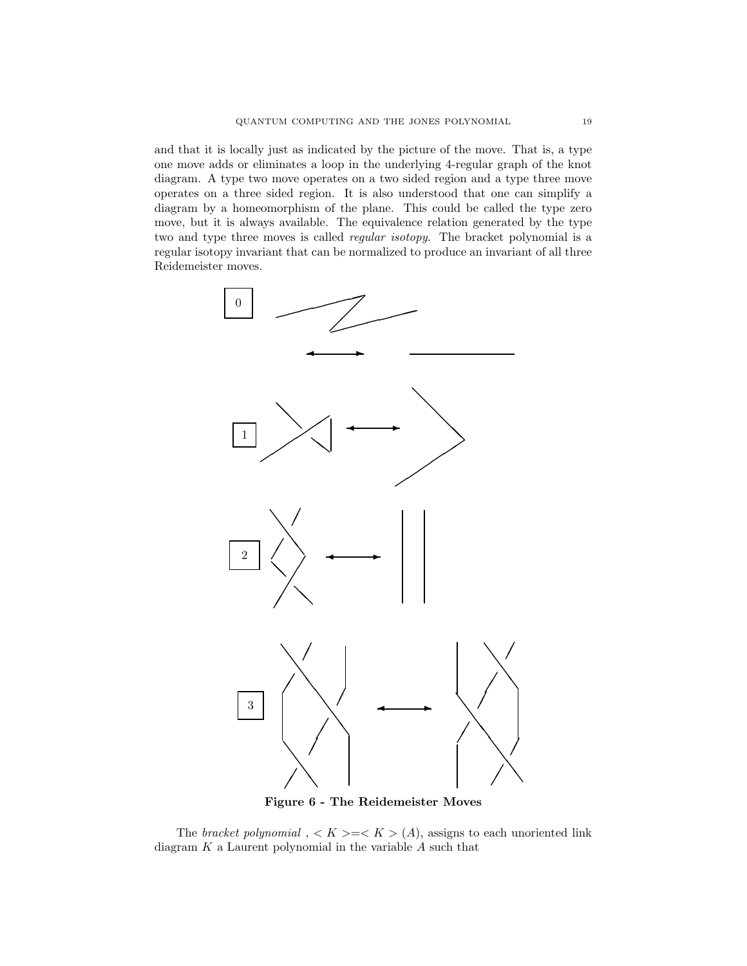and that it is locally just as indicated by the picture of the move. That is, a type one move adds or eliminates a loop in the underlying 4-regular graph of the knot diagram. A type two move operates on a two sided region and a type three move operates on a three sided region. It is also understood that one can simplify a diagram by a homeomorphism of the plane. This could be called the type zero move, but it is always available. The equivalence relation generated by the type two and type three moves is called *regular isotopy*. The bracket polynomial is a regular isotopy invariant that can be normalized to produce an invariant of all three Reidemeister moves.



Figure 6 - The Reidemeister Moves

The bracket polynomial  $\zeta < K > = \zeta K > (A)$ , assigns to each unoriented link diagram  $K$  a Laurent polynomial in the variable  $A$  such that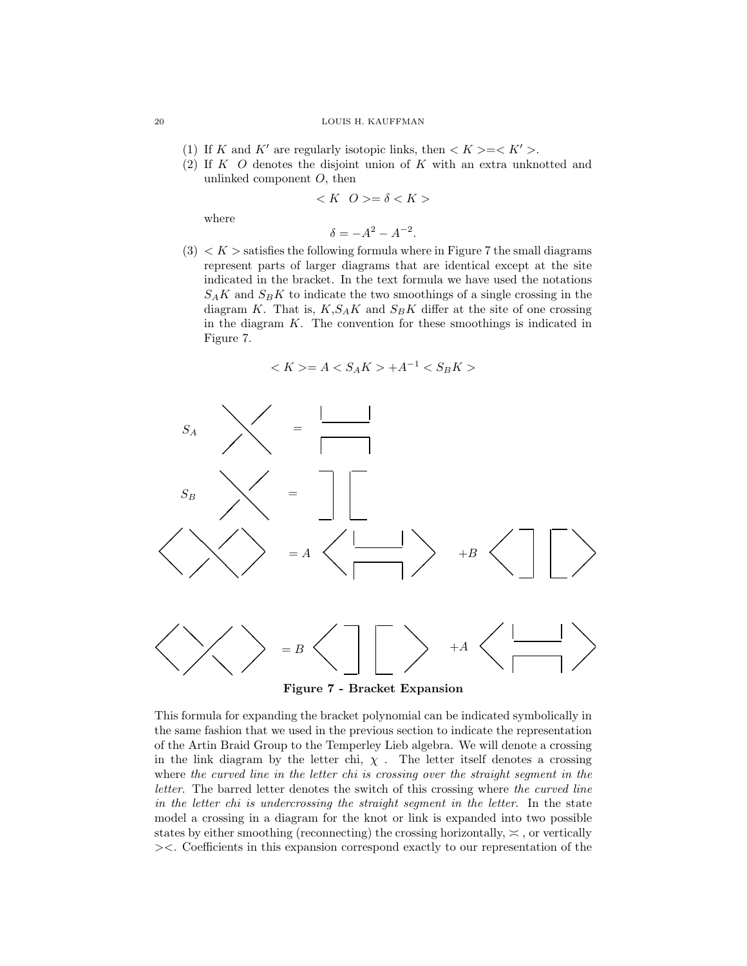#### 20 LOUIS H. KAUFFMAN

- (1) If K and K' are regularly isotopic links, then  $\langle K \rangle = \langle K' \rangle$ .
- (2) If K O denotes the disjoint union of K with an extra unknotted and unlinked component  $O$ , then

$$
\langle K \mid O \rangle = \delta \langle K \rangle
$$

where

$$
\delta = -A^2 - A^{-2}.
$$

 $(3) < K$  satisfies the following formula where in Figure 7 the small diagrams represent parts of larger diagrams that are identical except at the site indicated in the bracket. In the text formula we have used the notations  $S_A K$  and  $S_B K$  to indicate the two smoothings of a single crossing in the diagram K. That is,  $K, S_A K$  and  $S_B K$  differ at the site of one crossing in the diagram  $K$ . The convention for these smoothings is indicated in Figure 7.

$$
=A+A^{-1}
$$



This formula for expanding the bracket polynomial can be indicated symbolically in the same fashion that we used in the previous section to indicate the representation of the Artin Braid Group to the Temperley Lieb algebra. We will denote a crossing in the link diagram by the letter chi,  $\chi$ . The letter itself denotes a crossing where the curved line in the letter chi is crossing over the straight segment in the letter. The barred letter denotes the switch of this crossing where the curved line in the letter chi is undercrossing the straight segment in the letter. In the state model a crossing in a diagram for the knot or link is expanded into two possible states by either smoothing (reconnecting) the crossing horizontally,  $\approx$ , or vertically ><. Coefficients in this expansion correspond exactly to our representation of the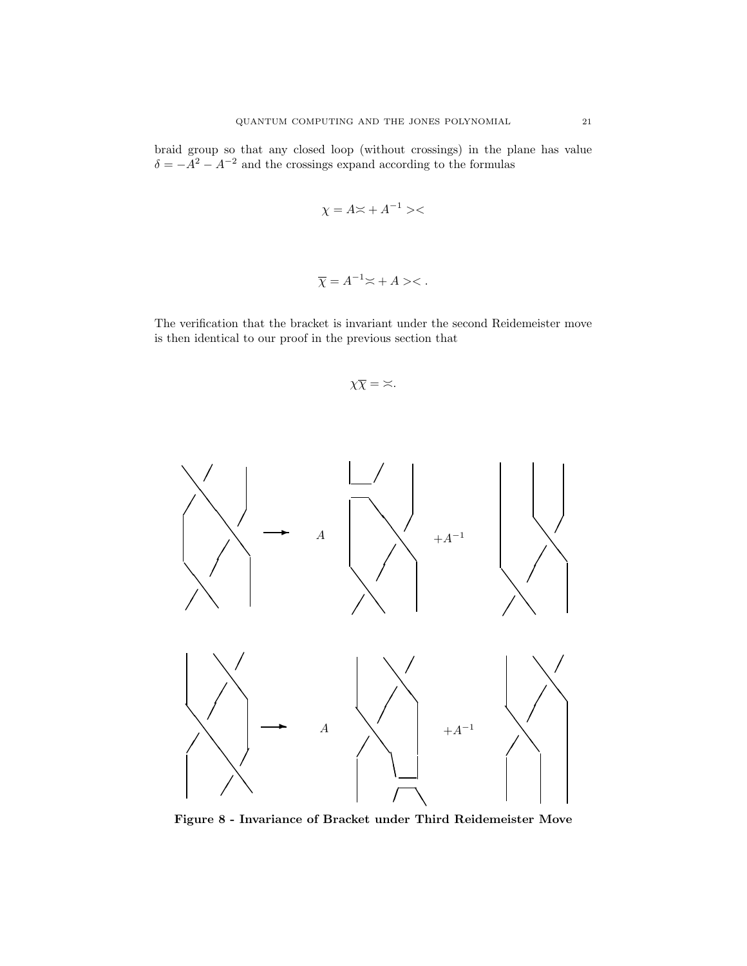braid group so that any closed loop (without crossings) in the plane has value  $\delta = -A^2 - A^{-2}$  and the crossings expand according to the formulas

$$
\chi = A \times + A^{-1} ><
$$

$$
\overline{\chi} = A^{-1} \asymp + A >< .
$$

The verification that the bracket is invariant under the second Reidemeister move is then identical to our proof in the previous section that

$$
\chi \overline{\chi} = \asymp.
$$



Figure 8 - Invariance of Bracket under Third Reidemeister Move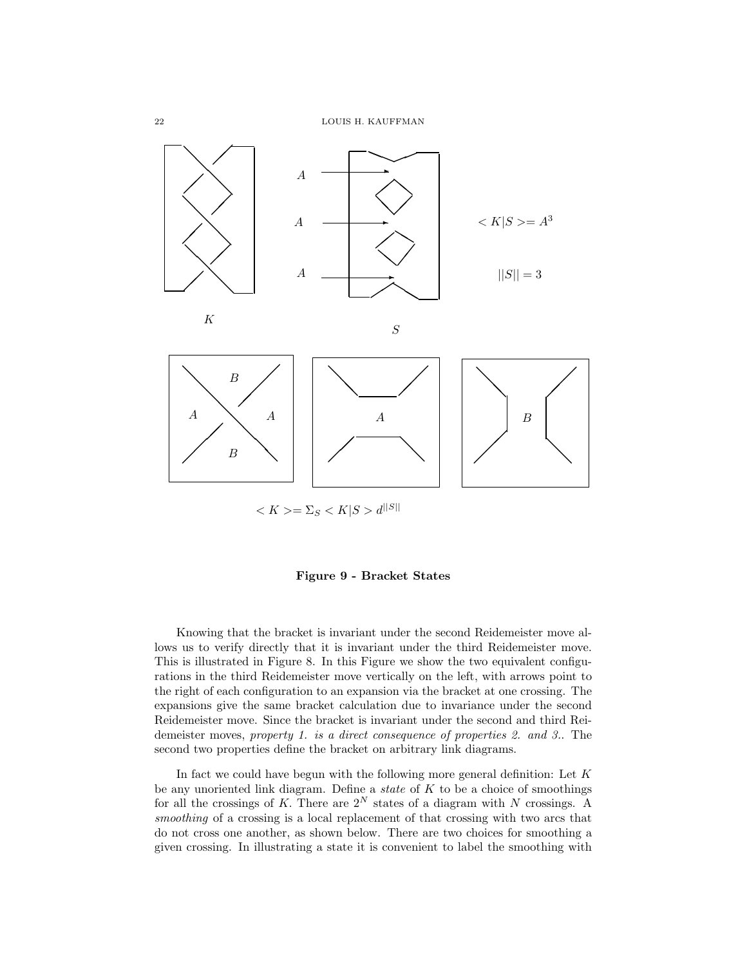

Figure 9 - Bracket States

Knowing that the bracket is invariant under the second Reidemeister move allows us to verify directly that it is invariant under the third Reidemeister move. This is illustrated in Figure 8. In this Figure we show the two equivalent configurations in the third Reidemeister move vertically on the left, with arrows point to the right of each configuration to an expansion via the bracket at one crossing. The expansions give the same bracket calculation due to invariance under the second Reidemeister move. Since the bracket is invariant under the second and third Reidemeister moves, property 1. is a direct consequence of properties 2. and 3.. The second two properties define the bracket on arbitrary link diagrams.

In fact we could have begun with the following more general definition: Let  $K$ be any unoriented link diagram. Define a *state* of  $K$  to be a choice of smoothings for all the crossings of K. There are  $2^N$  states of a diagram with N crossings. A smoothing of a crossing is a local replacement of that crossing with two arcs that do not cross one another, as shown below. There are two choices for smoothing a given crossing. In illustrating a state it is convenient to label the smoothing with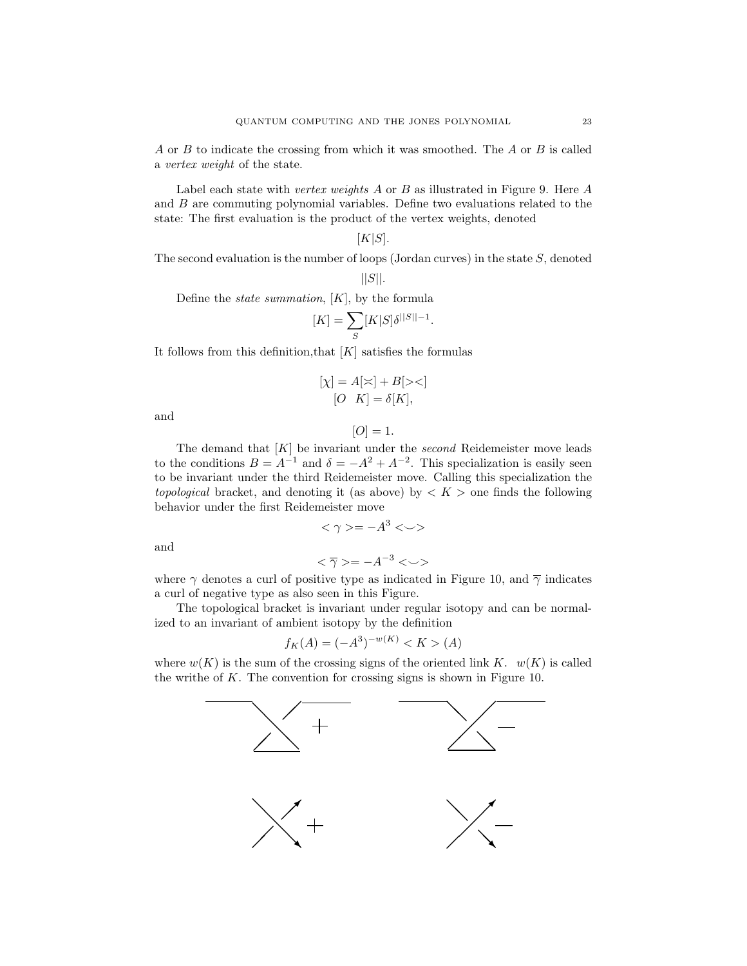A or B to indicate the crossing from which it was smoothed. The A or B is called a vertex weight of the state.

Label each state with *vertex weights*  $A$  or  $B$  as illustrated in Figure 9. Here  $A$ and B are commuting polynomial variables. Define two evaluations related to the state: The first evaluation is the product of the vertex weights, denoted

$$
[K|S].
$$

The second evaluation is the number of loops (Jordan curves) in the state  $S$ , denoted  $||S||.$ 

Define the *state summation*,  $[K]$ , by the formula

$$
[K] = \sum_{S} [K|S] \delta^{\vert |S|\vert-1}.
$$

It follows from this definition, that  $[K]$  satisfies the formulas

$$
[\chi] = A[\asymp] + B[\gtlt;]
$$
  

$$
[O \quad K] = \delta[K],
$$

and

$$
[O] = 1.
$$

The demand that  $[K]$  be invariant under the *second* Reidemeister move leads to the conditions  $B = A^{-1}$  and  $\delta = -A^2 + A^{-2}$ . This specialization is easily seen to be invariant under the third Reidemeister move. Calling this specialization the topological bracket, and denoting it (as above) by  $\lt K$  > one finds the following behavior under the first Reidemeister move

$$
<\gamma>=-A^3<\smallsmile>
$$

and

$$
<\overline{\gamma}>=-A^{-3} < \cdots >
$$

where  $\gamma$  denotes a curl of positive type as indicated in Figure 10, and  $\overline{\gamma}$  indicates a curl of negative type as also seen in this Figure.

The topological bracket is invariant under regular isotopy and can be normalized to an invariant of ambient isotopy by the definition

$$
f_K(A) = (-A^3)^{-w(K)} < K > (A)
$$

where  $w(K)$  is the sum of the crossing signs of the oriented link K.  $w(K)$  is called the writhe of K. The convention for crossing signs is shown in Figure 10.

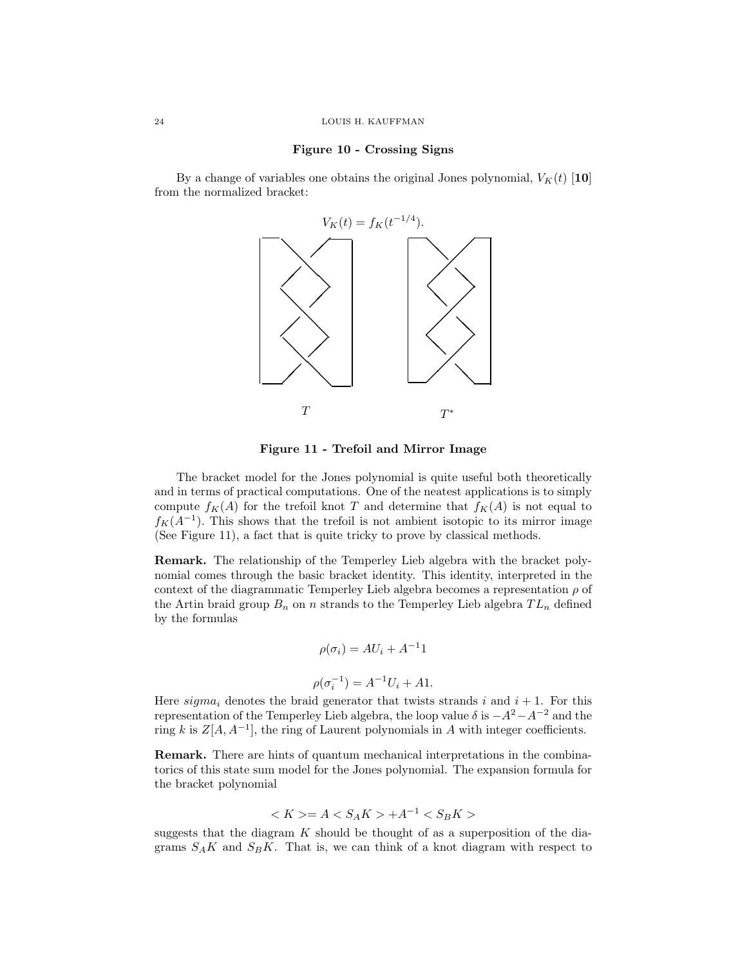## Figure 10 - Crossing Signs

By a change of variables one obtains the original Jones polynomial,  $V_K(t)\;[\mathbf{10}]$ from the normalized bracket:



Figure 11 - Trefoil and Mirror Image

The bracket model for the Jones polynomial is quite useful both theoretically and in terms of practical computations. One of the neatest applications is to simply compute  $f_K(A)$  for the trefoil knot T and determine that  $f_K(A)$  is not equal to  $f_K(A^{-1})$ . This shows that the trefoil is not ambient isotopic to its mirror image (See Figure 11), a fact that is quite tricky to prove by classical methods.

Remark. The relationship of the Temperley Lieb algebra with the bracket polynomial comes through the basic bracket identity. This identity, interpreted in the context of the diagrammatic Temperley Lieb algebra becomes a representation  $\rho$  of the Artin braid group  $B_n$  on n strands to the Temperley Lieb algebra  $TL_n$  defined by the formulas

$$
\rho(\sigma_i) = AU_i + A^{-1}1
$$

$$
\rho(\sigma_i^{-1}) = A^{-1}U_i + A1.
$$

Here sigma<sub>i</sub> denotes the braid generator that twists strands i and  $i + 1$ . For this representation of the Temperley Lieb algebra, the loop value  $\delta$  is  $-A^2-A^{-2}$  and the ring k is  $Z[A, A^{-1}]$ , the ring of Laurent polynomials in A with integer coefficients.

Remark. There are hints of quantum mechanical interpretations in the combinatorics of this state sum model for the Jones polynomial. The expansion formula for the bracket polynomial

$$
=A+A^{-1}
$$

suggests that the diagram  $K$  should be thought of as a superposition of the diagrams  $S_A K$  and  $S_B K$ . That is, we can think of a knot diagram with respect to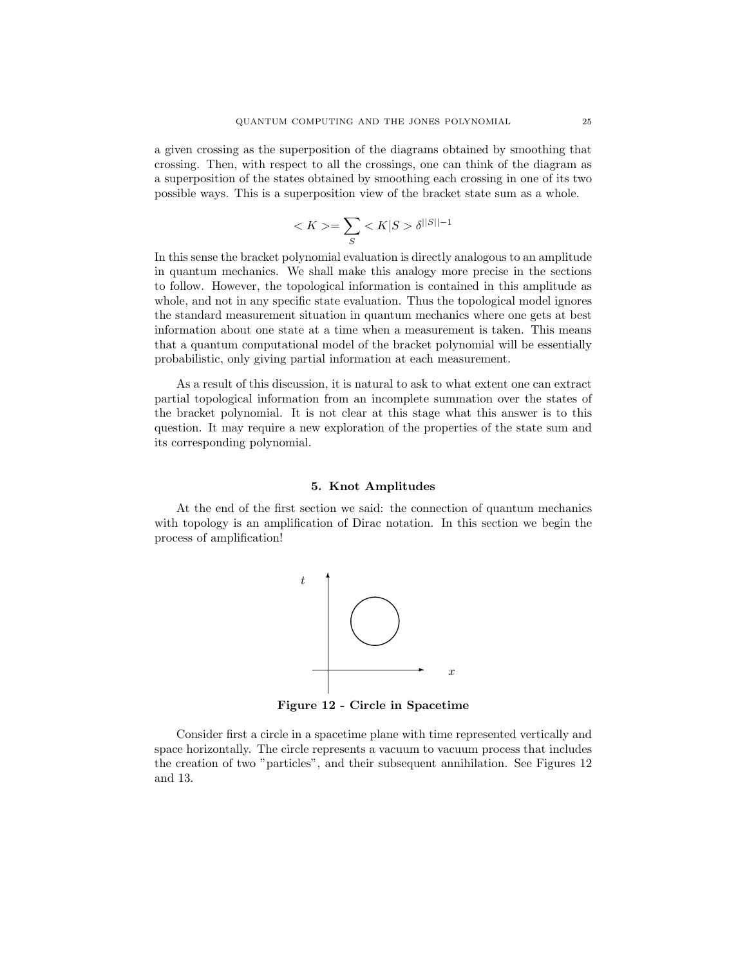a given crossing as the superposition of the diagrams obtained by smoothing that crossing. Then, with respect to all the crossings, one can think of the diagram as a superposition of the states obtained by smoothing each crossing in one of its two possible ways. This is a superposition view of the bracket state sum as a whole.

$$
=\sum_{S}\delta^{\vert |S\vert \vert-1}
$$

In this sense the bracket polynomial evaluation is directly analogous to an amplitude in quantum mechanics. We shall make this analogy more precise in the sections to follow. However, the topological information is contained in this amplitude as whole, and not in any specific state evaluation. Thus the topological model ignores the standard measurement situation in quantum mechanics where one gets at best information about one state at a time when a measurement is taken. This means that a quantum computational model of the bracket polynomial will be essentially probabilistic, only giving partial information at each measurement.

As a result of this discussion, it is natural to ask to what extent one can extract partial topological information from an incomplete summation over the states of the bracket polynomial. It is not clear at this stage what this answer is to this question. It may require a new exploration of the properties of the state sum and its corresponding polynomial.

### 5. Knot Amplitudes

At the end of the first section we said: the connection of quantum mechanics with topology is an amplification of Dirac notation. In this section we begin the process of amplification!



Figure 12 - Circle in Spacetime

Consider first a circle in a spacetime plane with time represented vertically and space horizontally. The circle represents a vacuum to vacuum process that includes the creation of two "particles", and their subsequent annihilation. See Figures 12 and 13.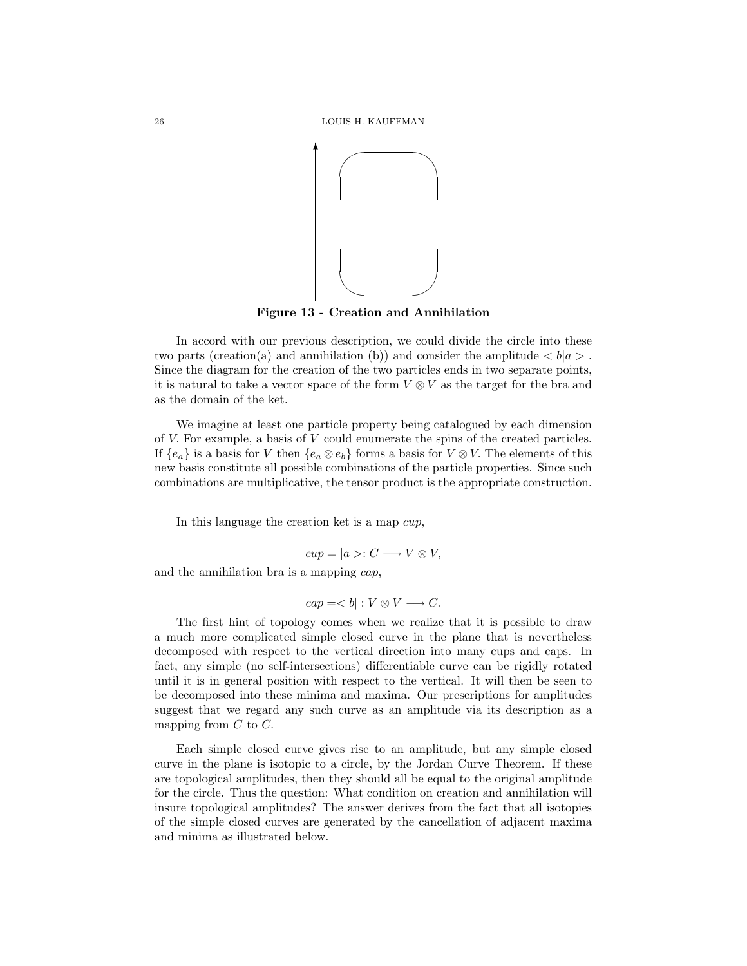

Figure 13 - Creation and Annihilation

In accord with our previous description, we could divide the circle into these two parts (creation(a) and annihilation (b)) and consider the amplitude  $\langle b|a\rangle$ . Since the diagram for the creation of the two particles ends in two separate points, it is natural to take a vector space of the form  $V \otimes V$  as the target for the bra and as the domain of the ket.

We imagine at least one particle property being catalogued by each dimension of V. For example, a basis of V could enumerate the spins of the created particles. If  ${e_a}$  is a basis for V then  ${e_a \otimes e_b}$  forms a basis for  $V \otimes V$ . The elements of this new basis constitute all possible combinations of the particle properties. Since such combinations are multiplicative, the tensor product is the appropriate construction.

In this language the creation ket is a map cup,

$$
cup = |a\rangle : C \longrightarrow V \otimes V,
$$

and the annihilation bra is a mapping cap,

$$
cap=
$$

The first hint of topology comes when we realize that it is possible to draw a much more complicated simple closed curve in the plane that is nevertheless decomposed with respect to the vertical direction into many cups and caps. In fact, any simple (no self-intersections) differentiable curve can be rigidly rotated until it is in general position with respect to the vertical. It will then be seen to be decomposed into these minima and maxima. Our prescriptions for amplitudes suggest that we regard any such curve as an amplitude via its description as a mapping from  $C$  to  $C$ .

Each simple closed curve gives rise to an amplitude, but any simple closed curve in the plane is isotopic to a circle, by the Jordan Curve Theorem. If these are topological amplitudes, then they should all be equal to the original amplitude for the circle. Thus the question: What condition on creation and annihilation will insure topological amplitudes? The answer derives from the fact that all isotopies of the simple closed curves are generated by the cancellation of adjacent maxima and minima as illustrated below.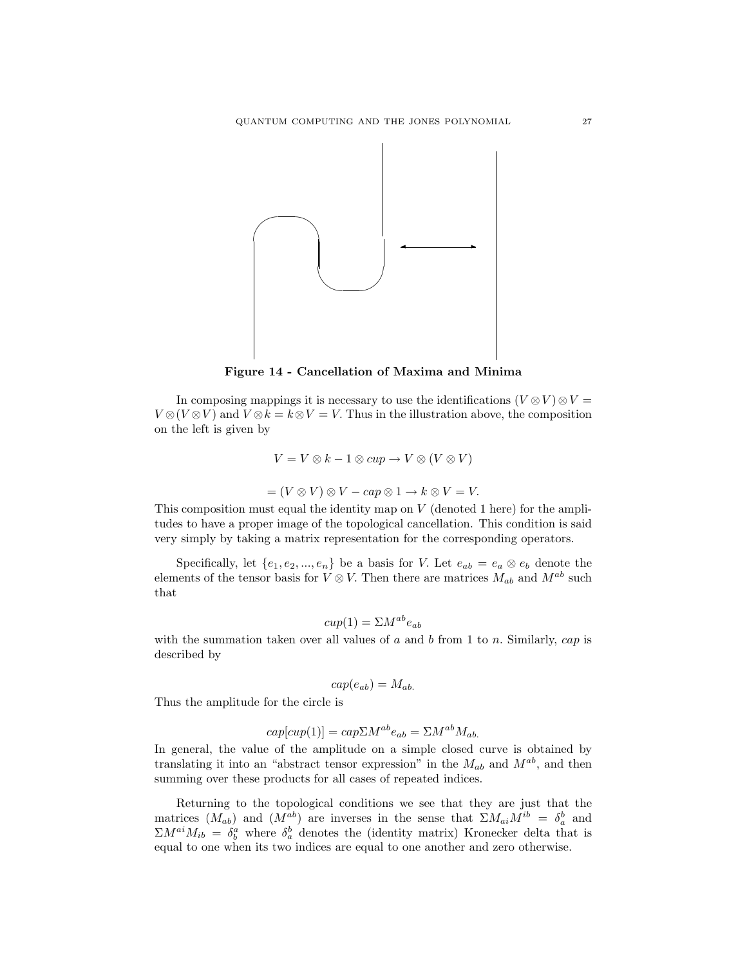

Figure 14 - Cancellation of Maxima and Minima

In composing mappings it is necessary to use the identifications  $(V \otimes V) \otimes V =$  $V \otimes (V \otimes V)$  and  $V \otimes k = k \otimes V = V$ . Thus in the illustration above, the composition on the left is given by

$$
V = V \otimes k - 1 \otimes cup \to V \otimes (V \otimes V)
$$

$$
= (V \otimes V) \otimes V - cap \otimes 1 \to k \otimes V = V.
$$

This composition must equal the identity map on  $V$  (denoted 1 here) for the amplitudes to have a proper image of the topological cancellation. This condition is said very simply by taking a matrix representation for the corresponding operators.

Specifically, let  $\{e_1, e_2, ..., e_n\}$  be a basis for V. Let  $e_{ab} = e_a \otimes e_b$  denote the elements of the tensor basis for  $V \otimes V$ . Then there are matrices  $M_{ab}$  and  $M^{ab}$  such that

$$
cup(1) = \Sigma M^{ab} e_{ab}
$$

with the summation taken over all values of a and b from 1 to n. Similarly, cap is described by

$$
cap(e_{ab}) = M_{ab}.
$$

Thus the amplitude for the circle is

$$
cap[cup(1)] = cap \Sigma M^{ab} e_{ab} = \Sigma M^{ab} M_{ab}.
$$

In general, the value of the amplitude on a simple closed curve is obtained by translating it into an "abstract tensor expression" in the  $M_{ab}$  and  $M^{ab}$ , and then summing over these products for all cases of repeated indices.

Returning to the topological conditions we see that they are just that the matrices  $(M_{ab})$  and  $(M_{ab}^{ab})$  are inverses in the sense that  $\Sigma M_{ai} M^{ib} = \delta_a^b$  and  $\Sigma M^{ai} M_{ib} = \delta^a_b$  where  $\delta^b_a$  denotes the (identity matrix) Kronecker delta that is equal to one when its two indices are equal to one another and zero otherwise.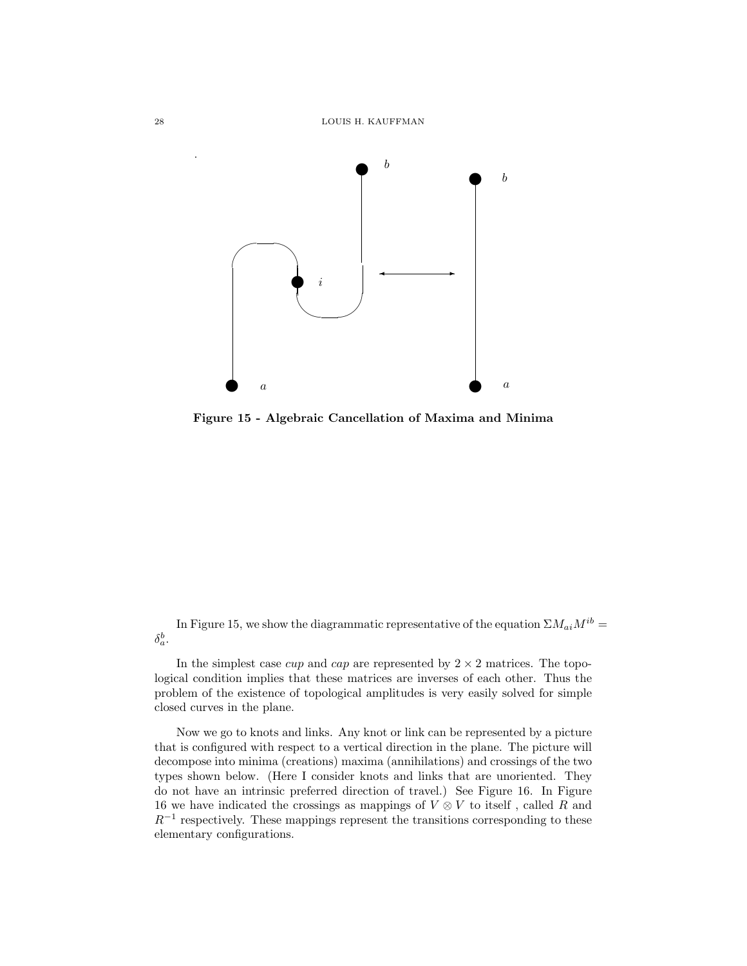

Figure 15 - Algebraic Cancellation of Maxima and Minima

In Figure 15, we show the diagrammatic representative of the equation  $\Sigma M_{ai}M^{ib} =$  $\delta_a^b$ .

In the simplest case *cup* and *cap* are represented by  $2 \times 2$  matrices. The topological condition implies that these matrices are inverses of each other. Thus the problem of the existence of topological amplitudes is very easily solved for simple closed curves in the plane.

Now we go to knots and links. Any knot or link can be represented by a picture that is configured with respect to a vertical direction in the plane. The picture will decompose into minima (creations) maxima (annihilations) and crossings of the two types shown below. (Here I consider knots and links that are unoriented. They do not have an intrinsic preferred direction of travel.) See Figure 16. In Figure 16 we have indicated the crossings as mappings of  $V \otimes V$  to itself, called R and  $R^{-1}$  respectively. These mappings represent the transitions corresponding to these elementary configurations.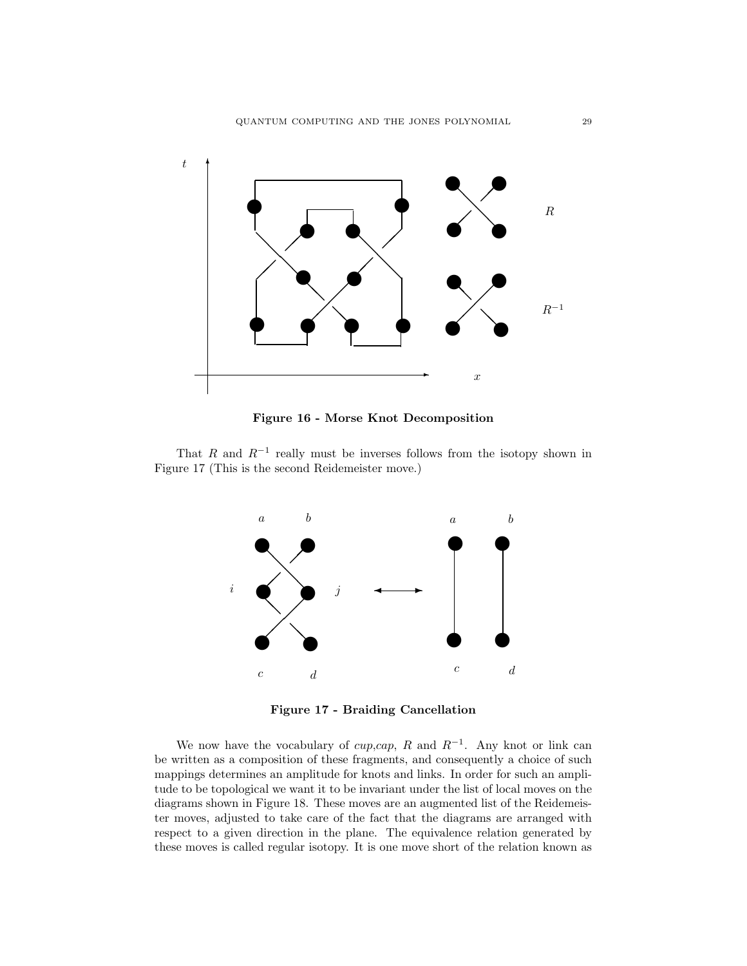

Figure 16 - Morse Knot Decomposition

That R and  $R^{-1}$  really must be inverses follows from the isotopy shown in Figure 17 (This is the second Reidemeister move.)



Figure 17 - Braiding Cancellation

We now have the vocabulary of  $cup, cap$ , R and  $R^{-1}$ . Any knot or link can be written as a composition of these fragments, and consequently a choice of such mappings determines an amplitude for knots and links. In order for such an amplitude to be topological we want it to be invariant under the list of local moves on the diagrams shown in Figure 18. These moves are an augmented list of the Reidemeister moves, adjusted to take care of the fact that the diagrams are arranged with respect to a given direction in the plane. The equivalence relation generated by these moves is called regular isotopy. It is one move short of the relation known as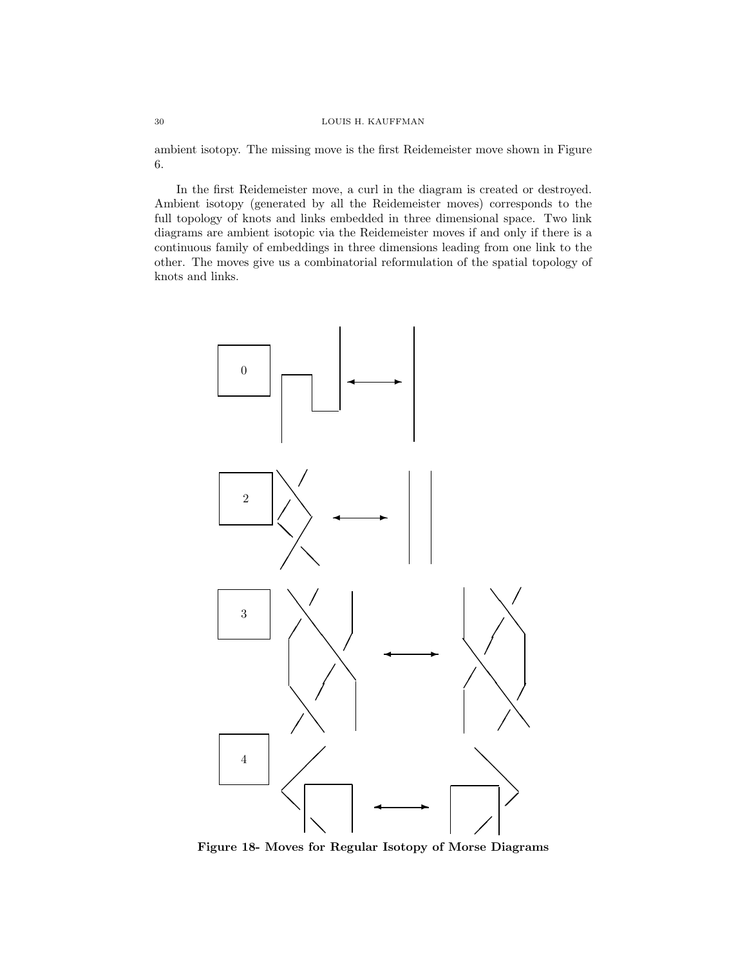### 30 LOUIS H. KAUFFMAN

ambient isotopy. The missing move is the first Reidemeister move shown in Figure 6.

In the first Reidemeister move, a curl in the diagram is created or destroyed. Ambient isotopy (generated by all the Reidemeister moves) corresponds to the full topology of knots and links embedded in three dimensional space. Two link diagrams are ambient isotopic via the Reidemeister moves if and only if there is a continuous family of embeddings in three dimensions leading from one link to the other. The moves give us a combinatorial reformulation of the spatial topology of knots and links.



Figure 18- Moves for Regular Isotopy of Morse Diagrams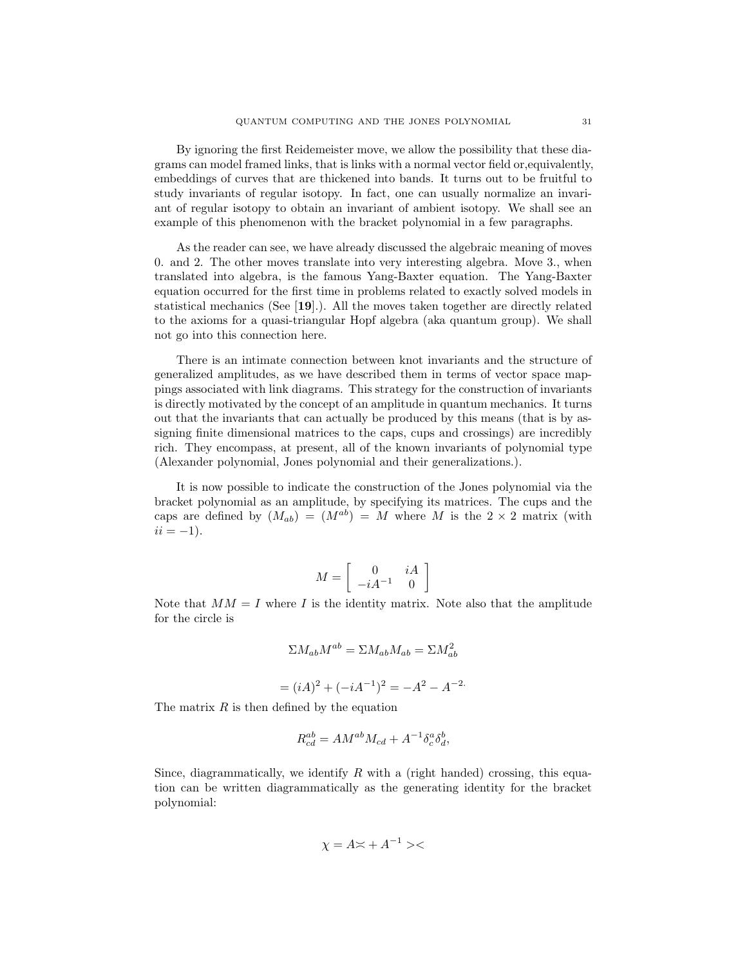By ignoring the first Reidemeister move, we allow the possibility that these diagrams can model framed links, that is links with a normal vector field or,equivalently, embeddings of curves that are thickened into bands. It turns out to be fruitful to study invariants of regular isotopy. In fact, one can usually normalize an invariant of regular isotopy to obtain an invariant of ambient isotopy. We shall see an example of this phenomenon with the bracket polynomial in a few paragraphs.

As the reader can see, we have already discussed the algebraic meaning of moves 0. and 2. The other moves translate into very interesting algebra. Move 3., when translated into algebra, is the famous Yang-Baxter equation. The Yang-Baxter equation occurred for the first time in problems related to exactly solved models in statistical mechanics (See [19].). All the moves taken together are directly related to the axioms for a quasi-triangular Hopf algebra (aka quantum group). We shall not go into this connection here.

There is an intimate connection between knot invariants and the structure of generalized amplitudes, as we have described them in terms of vector space mappings associated with link diagrams. This strategy for the construction of invariants is directly motivated by the concept of an amplitude in quantum mechanics. It turns out that the invariants that can actually be produced by this means (that is by assigning finite dimensional matrices to the caps, cups and crossings) are incredibly rich. They encompass, at present, all of the known invariants of polynomial type (Alexander polynomial, Jones polynomial and their generalizations.).

It is now possible to indicate the construction of the Jones polynomial via the bracket polynomial as an amplitude, by specifying its matrices. The cups and the caps are defined by  $(M_{ab}) = (M^{ab}) = M$  where M is the  $2 \times 2$  matrix (with  $ii = -1$ ).

$$
M = \left[ \begin{array}{cc} 0 & iA \\ -iA^{-1} & 0 \end{array} \right]
$$

Note that  $MM = I$  where I is the identity matrix. Note also that the amplitude for the circle is

$$
\Sigma M_{ab} M^{ab} = \Sigma M_{ab} M_{ab} = \Sigma M_{ab}^2
$$

 $=(iA)^2+(-iA^{-1})^2=-A^2-A^{-2}$ 

The matrix  $R$  is then defined by the equation

$$
R_{cd}^{ab} = AM^{ab}M_{cd} + A^{-1} \delta_c^a \delta_d^b,
$$

Since, diagrammatically, we identify  $R$  with a (right handed) crossing, this equation can be written diagrammatically as the generating identity for the bracket polynomial:

$$
\chi = A\!\asymp\! + A^{-1} > <
$$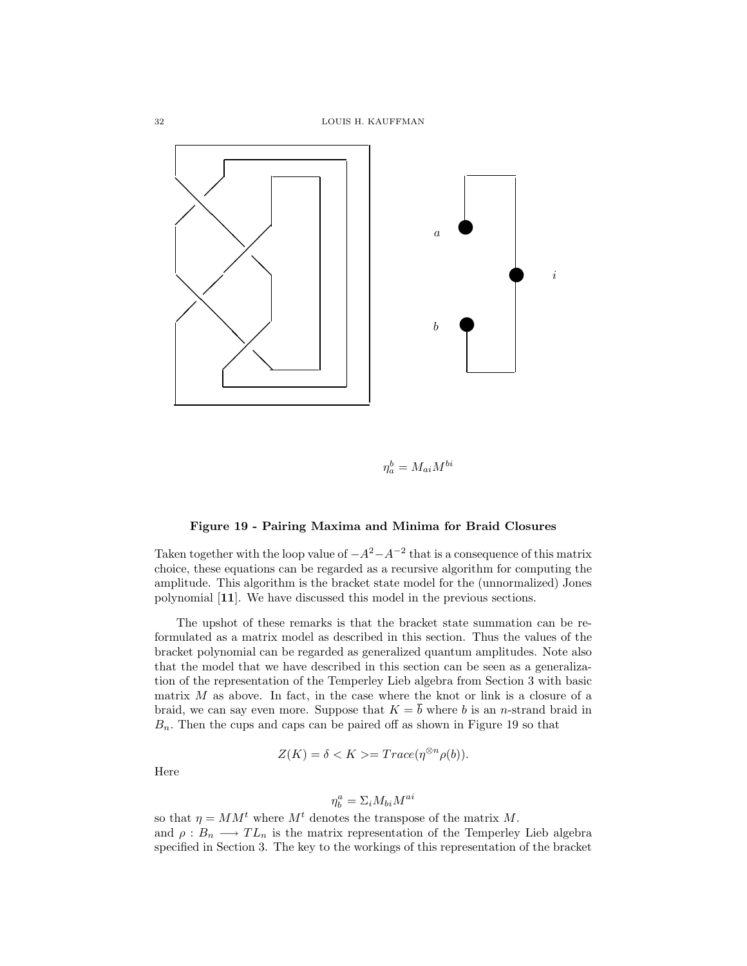



i

$$
\eta^b_a = M_{ai} M^{bi}
$$

## Figure 19 - Pairing Maxima and Minima for Braid Closures

Taken together with the loop value of  $-A^2-A^{-2}$  that is a consequence of this matrix choice, these equations can be regarded as a recursive algorithm for computing the amplitude. This algorithm is the bracket state model for the (unnormalized) Jones polynomial [11]. We have discussed this model in the previous sections.

The upshot of these remarks is that the bracket state summation can be reformulated as a matrix model as described in this section. Thus the values of the bracket polynomial can be regarded as generalized quantum amplitudes. Note also that the model that we have described in this section can be seen as a generalization of the representation of the Temperley Lieb algebra from Section 3 with basic matrix  $M$  as above. In fact, in the case where the knot or link is a closure of a braid, we can say even more. Suppose that  $K = \overline{b}$  where b is an n-strand braid in  $B_n$ . Then the cups and caps can be paired off as shown in Figure 19 so that

$$
Z(K)=\delta =Trace(\eta^{\otimes n}\rho(b)).
$$

Here

$$
\eta_b^a = \Sigma_i M_{bi} M^{ai}
$$

so that  $\eta = MM^t$  where  $M^t$  denotes the transpose of the matrix M. and  $\rho : B_n \longrightarrow TL_n$  is the matrix representation of the Temperley Lieb algebra specified in Section 3. The key to the workings of this representation of the bracket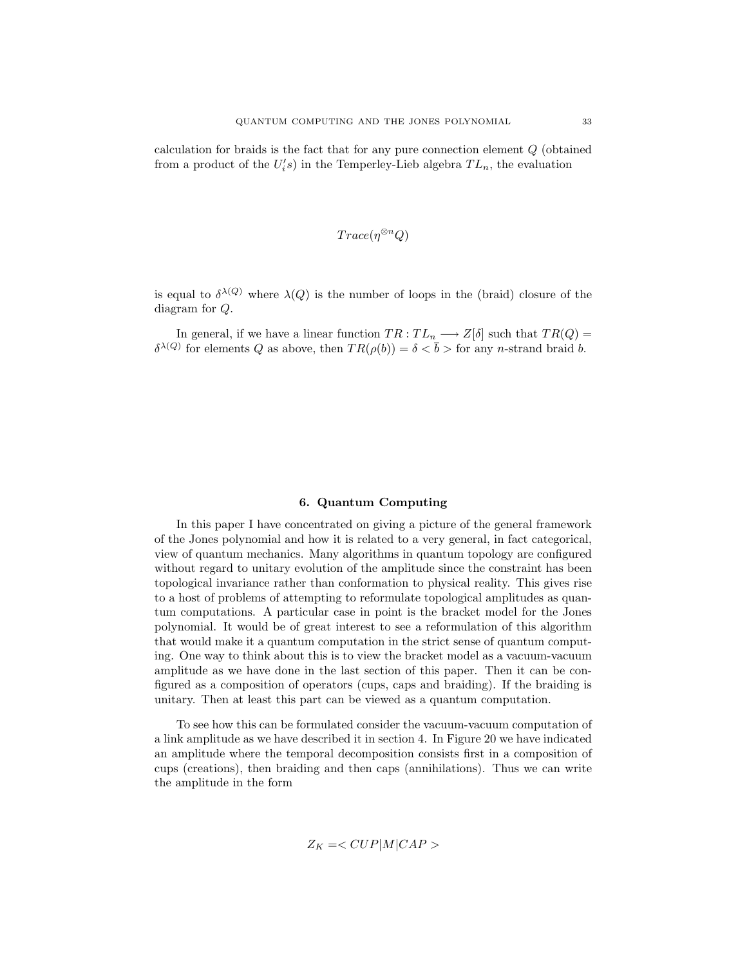calculation for braids is the fact that for any pure connection element Q (obtained from a product of the  $U_i$ 's) in the Temperley-Lieb algebra  $TL_n$ , the evaluation

$$
Trace(\eta^{\otimes n}Q)
$$

is equal to  $\delta^{\lambda(Q)}$  where  $\lambda(Q)$  is the number of loops in the (braid) closure of the diagram for Q.

In general, if we have a linear function  $TR : TL_n \longrightarrow Z[\delta]$  such that  $TR(Q) =$  $\delta^{\lambda(Q)}$  for elements Q as above, then  $TR(\rho(b)) = \delta < \overline{b} >$  for any *n*-strand braid b.

## 6. Quantum Computing

In this paper I have concentrated on giving a picture of the general framework of the Jones polynomial and how it is related to a very general, in fact categorical, view of quantum mechanics. Many algorithms in quantum topology are configured without regard to unitary evolution of the amplitude since the constraint has been topological invariance rather than conformation to physical reality. This gives rise to a host of problems of attempting to reformulate topological amplitudes as quantum computations. A particular case in point is the bracket model for the Jones polynomial. It would be of great interest to see a reformulation of this algorithm that would make it a quantum computation in the strict sense of quantum computing. One way to think about this is to view the bracket model as a vacuum-vacuum amplitude as we have done in the last section of this paper. Then it can be configured as a composition of operators (cups, caps and braiding). If the braiding is unitary. Then at least this part can be viewed as a quantum computation.

To see how this can be formulated consider the vacuum-vacuum computation of a link amplitude as we have described it in section 4. In Figure 20 we have indicated an amplitude where the temporal decomposition consists first in a composition of cups (creations), then braiding and then caps (annihilations). Thus we can write the amplitude in the form

$$
Z_K=
$$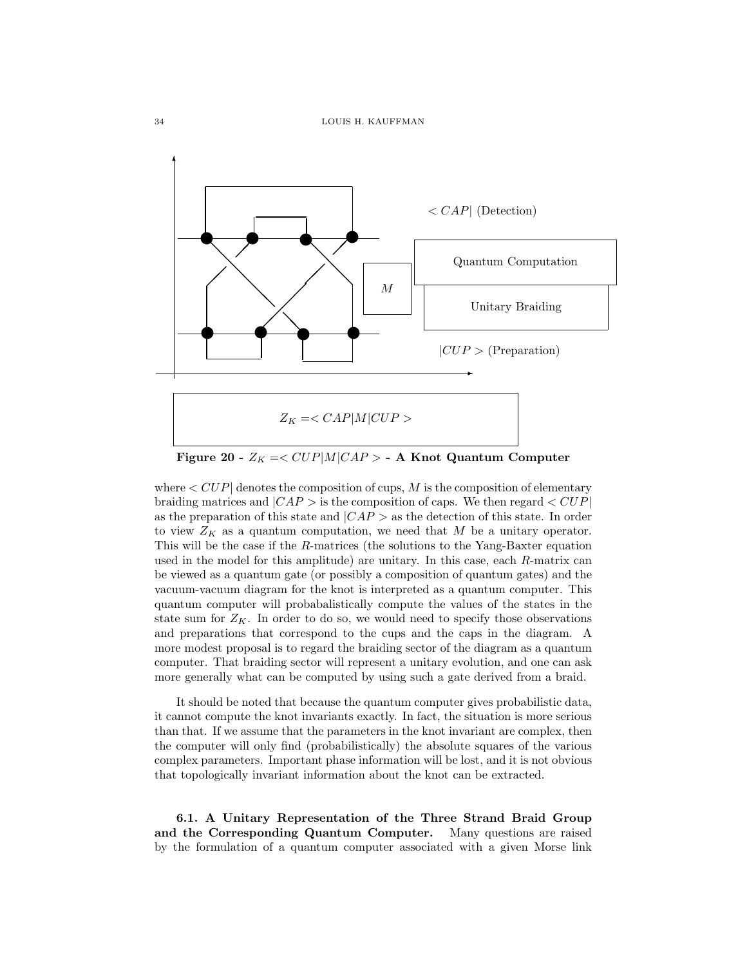

Figure 20 -  $Z_K = \langle \text{ } CUP \vert M \vert \text{ } CAP \rangle$  - A Knot Quantum Computer

where  $\langle$  CUP denotes the composition of cups, M is the composition of elementary braiding matrices and  $|CAP>$  is the composition of caps. We then regard  $\langle CUP|$ as the preparation of this state and  $|CAP\rangle$  as the detection of this state. In order to view  $Z_K$  as a quantum computation, we need that M be a unitary operator. This will be the case if the R-matrices (the solutions to the Yang-Baxter equation used in the model for this amplitude) are unitary. In this case, each R-matrix can be viewed as a quantum gate (or possibly a composition of quantum gates) and the vacuum-vacuum diagram for the knot is interpreted as a quantum computer. This quantum computer will probabalistically compute the values of the states in the state sum for  $Z_K$ . In order to do so, we would need to specify those observations and preparations that correspond to the cups and the caps in the diagram. A more modest proposal is to regard the braiding sector of the diagram as a quantum computer. That braiding sector will represent a unitary evolution, and one can ask more generally what can be computed by using such a gate derived from a braid.

It should be noted that because the quantum computer gives probabilistic data, it cannot compute the knot invariants exactly. In fact, the situation is more serious than that. If we assume that the parameters in the knot invariant are complex, then the computer will only find (probabilistically) the absolute squares of the various complex parameters. Important phase information will be lost, and it is not obvious that topologically invariant information about the knot can be extracted.

6.1. A Unitary Representation of the Three Strand Braid Group and the Corresponding Quantum Computer. Many questions are raised by the formulation of a quantum computer associated with a given Morse link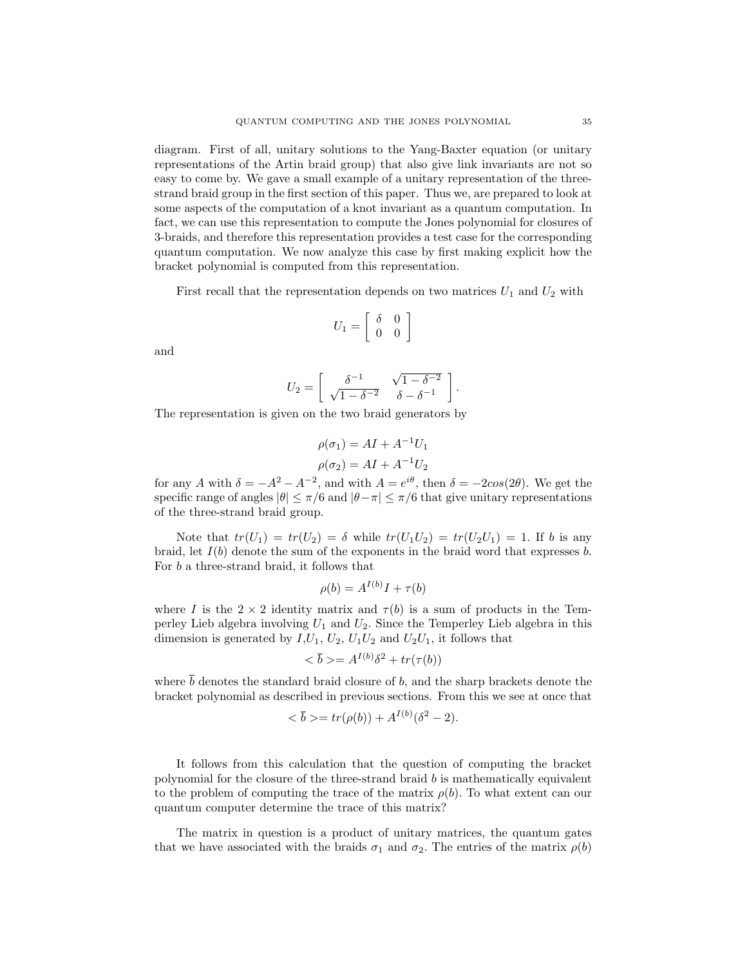diagram. First of all, unitary solutions to the Yang-Baxter equation (or unitary representations of the Artin braid group) that also give link invariants are not so easy to come by. We gave a small example of a unitary representation of the threestrand braid group in the first section of this paper. Thus we, are prepared to look at some aspects of the computation of a knot invariant as a quantum computation. In fact, we can use this representation to compute the Jones polynomial for closures of 3-braids, and therefore this representation provides a test case for the corresponding quantum computation. We now analyze this case by first making explicit how the bracket polynomial is computed from this representation.

First recall that the representation depends on two matrices  $U_1$  and  $U_2$  with

$$
U_1 = \left[ \begin{array}{cc} \delta & 0 \\ 0 & 0 \end{array} \right]
$$

and

$$
U_2 = \begin{bmatrix} \delta^{-1} & \sqrt{1 - \delta^{-2}} \\ \sqrt{1 - \delta^{-2}} & \delta - \delta^{-1} \end{bmatrix}.
$$

The representation is given on the two braid generators by

$$
\rho(\sigma_1) = AI + A^{-1}U_1
$$

$$
\rho(\sigma_2) = AI + A^{-1}U_2
$$

for any A with  $\delta = -A^2 - A^{-2}$ , and with  $A = e^{i\theta}$ , then  $\delta = -2\cos(2\theta)$ . We get the specific range of angles  $|\theta| \leq \pi/6$  and  $|\theta - \pi| \leq \pi/6$  that give unitary representations of the three-strand braid group.

Note that  $tr(U_1) = tr(U_2) = \delta$  while  $tr(U_1U_2) = tr(U_2U_1) = 1$ . If b is any braid, let  $I(b)$  denote the sum of the exponents in the braid word that expresses b. For b a three-strand braid, it follows that

$$
\rho(b) = A^{I(b)}I + \tau(b)
$$

where I is the  $2 \times 2$  identity matrix and  $\tau(b)$  is a sum of products in the Temperley Lieb algebra involving  $U_1$  and  $U_2$ . Since the Temperley Lieb algebra in this dimension is generated by  $I, U_1, U_2, U_1U_2$  and  $U_2U_1$ , it follows that

$$
\langle \overline{b} \rangle = A^{I(b)} \delta^2 + tr(\tau(b))
$$

where  $\bar{b}$  denotes the standard braid closure of b, and the sharp brackets denote the bracket polynomial as described in previous sections. From this we see at once that

$$
\langle \overline{b} \rangle = tr(\rho(b)) + A^{I(b)}(\delta^2 - 2).
$$

It follows from this calculation that the question of computing the bracket polynomial for the closure of the three-strand braid  $b$  is mathematically equivalent to the problem of computing the trace of the matrix  $\rho(b)$ . To what extent can our quantum computer determine the trace of this matrix?

The matrix in question is a product of unitary matrices, the quantum gates that we have associated with the braids  $\sigma_1$  and  $\sigma_2$ . The entries of the matrix  $\rho(b)$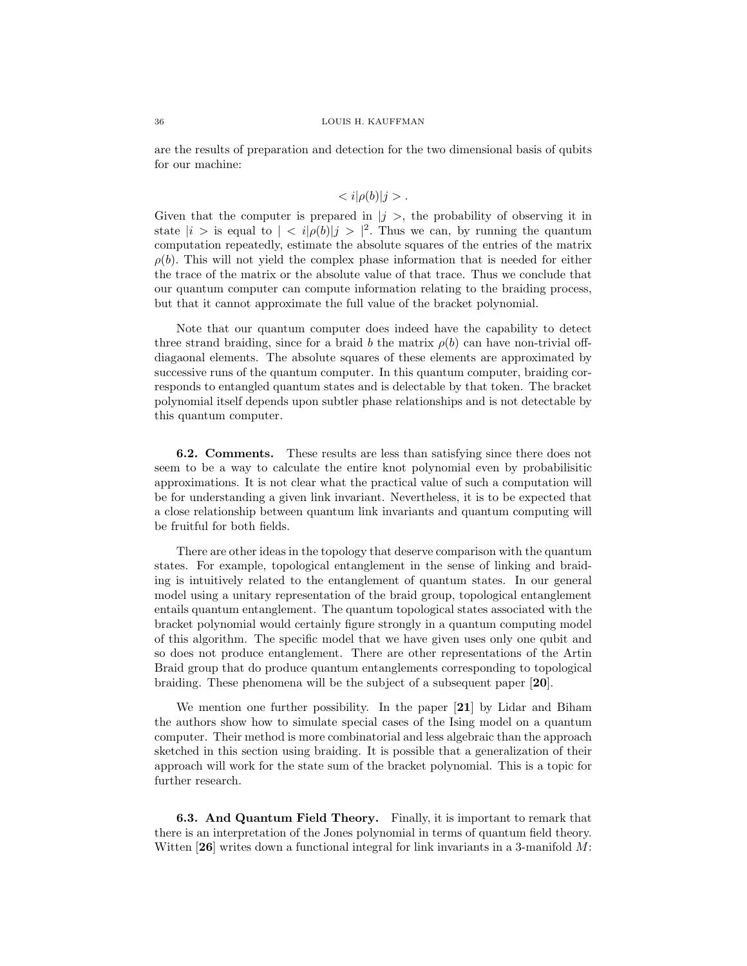are the results of preparation and detection for the two dimensional basis of qubits for our machine:

$$
\langle i|\rho(b)|j\rangle.
$$

Given that the computer is prepared in  $|j\rangle$ , the probability of observing it in state  $|i\rangle$  is equal to  $| \langle i|\rho(b)|j\rangle|^2$ . Thus we can, by running the quantum computation repeatedly, estimate the absolute squares of the entries of the matrix  $\rho(b)$ . This will not yield the complex phase information that is needed for either the trace of the matrix or the absolute value of that trace. Thus we conclude that our quantum computer can compute information relating to the braiding process, but that it cannot approximate the full value of the bracket polynomial.

Note that our quantum computer does indeed have the capability to detect three strand braiding, since for a braid b the matrix  $\rho(b)$  can have non-trivial offdiagaonal elements. The absolute squares of these elements are approximated by successive runs of the quantum computer. In this quantum computer, braiding corresponds to entangled quantum states and is delectable by that token. The bracket polynomial itself depends upon subtler phase relationships and is not detectable by this quantum computer.

6.2. Comments. These results are less than satisfying since there does not seem to be a way to calculate the entire knot polynomial even by probabilisitic approximations. It is not clear what the practical value of such a computation will be for understanding a given link invariant. Nevertheless, it is to be expected that a close relationship between quantum link invariants and quantum computing will be fruitful for both fields.

There are other ideas in the topology that deserve comparison with the quantum states. For example, topological entanglement in the sense of linking and braiding is intuitively related to the entanglement of quantum states. In our general model using a unitary representation of the braid group, topological entanglement entails quantum entanglement. The quantum topological states associated with the bracket polynomial would certainly figure strongly in a quantum computing model of this algorithm. The specific model that we have given uses only one qubit and so does not produce entanglement. There are other representations of the Artin Braid group that do produce quantum entanglements corresponding to topological braiding. These phenomena will be the subject of a subsequent paper [20].

We mention one further possibility. In the paper [21] by Lidar and Biham the authors show how to simulate special cases of the Ising model on a quantum computer. Their method is more combinatorial and less algebraic than the approach sketched in this section using braiding. It is possible that a generalization of their approach will work for the state sum of the bracket polynomial. This is a topic for further research.

6.3. And Quantum Field Theory. Finally, it is important to remark that there is an interpretation of the Jones polynomial in terms of quantum field theory. Witten  $[26]$  writes down a functional integral for link invariants in a 3-manifold M: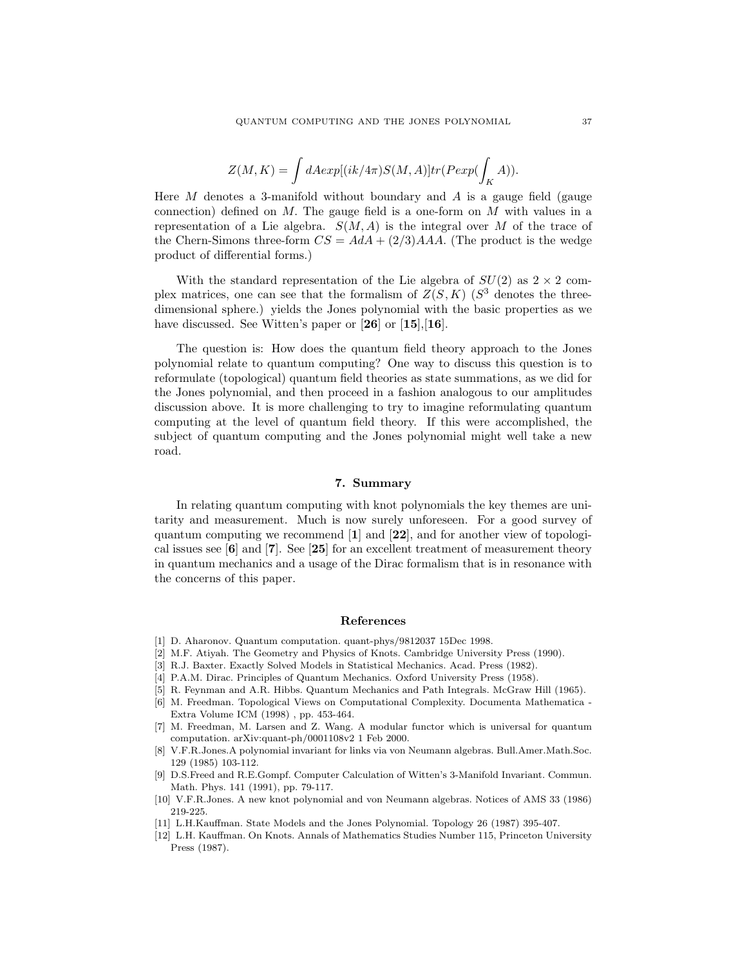$$
Z(M,K) = \int dAexp[(ik/4\pi)S(M,A)]tr(Pexp(\int_K A)).
$$

Here  $M$  denotes a 3-manifold without boundary and  $A$  is a gauge field (gauge connection) defined on  $M$ . The gauge field is a one-form on  $M$  with values in a representation of a Lie algebra.  $S(M, A)$  is the integral over M of the trace of the Chern-Simons three-form  $CS = AdA + (2/3)AAA$ . (The product is the wedge product of differential forms.)

With the standard representation of the Lie algebra of  $SU(2)$  as  $2 \times 2$  complex matrices, one can see that the formalism of  $Z(S, K)$  ( $S<sup>3</sup>$  denotes the threedimensional sphere.) yields the Jones polynomial with the basic properties as we have discussed. See Witten's paper or  $[26]$  or  $[15], [16]$ .

The question is: How does the quantum field theory approach to the Jones polynomial relate to quantum computing? One way to discuss this question is to reformulate (topological) quantum field theories as state summations, as we did for the Jones polynomial, and then proceed in a fashion analogous to our amplitudes discussion above. It is more challenging to try to imagine reformulating quantum computing at the level of quantum field theory. If this were accomplished, the subject of quantum computing and the Jones polynomial might well take a new road.

## 7. Summary

In relating quantum computing with knot polynomials the key themes are unitarity and measurement. Much is now surely unforeseen. For a good survey of quantum computing we recommend [1] and [22], and for another view of topological issues see  $\mathbf{6}$  and  $\mathbf{7}$ . See  $\mathbf{25}$  for an excellent treatment of measurement theory in quantum mechanics and a usage of the Dirac formalism that is in resonance with the concerns of this paper.

#### References

- [1] D. Aharonov. Quantum computation. quant-phys/9812037 15Dec 1998.
- [2] M.F. Atiyah. The Geometry and Physics of Knots. Cambridge University Press (1990).
- [3] R.J. Baxter. Exactly Solved Models in Statistical Mechanics. Acad. Press (1982).
- [4] P.A.M. Dirac. Principles of Quantum Mechanics. Oxford University Press (1958).
- [5] R. Feynman and A.R. Hibbs. Quantum Mechanics and Path Integrals. McGraw Hill (1965).
- [6] M. Freedman. Topological Views on Computational Complexity. Documenta Mathematica Extra Volume ICM (1998) , pp. 453-464.
- [7] M. Freedman, M. Larsen and Z. Wang. A modular functor which is universal for quantum computation. arXiv:quant-ph/0001108v2 1 Feb 2000.
- [8] V.F.R.Jones.A polynomial invariant for links via von Neumann algebras. Bull.Amer.Math.Soc. 129 (1985) 103-112.
- [9] D.S.Freed and R.E.Gompf. Computer Calculation of Witten's 3-Manifold Invariant. Commun. Math. Phys. 141 (1991), pp. 79-117.
- [10] V.F.R.Jones. A new knot polynomial and von Neumann algebras. Notices of AMS 33 (1986) 219-225.
- [11] L.H.Kauffman. State Models and the Jones Polynomial. Topology 26 (1987) 395-407.
- [12] L.H. Kauffman. On Knots. Annals of Mathematics Studies Number 115, Princeton University Press (1987).